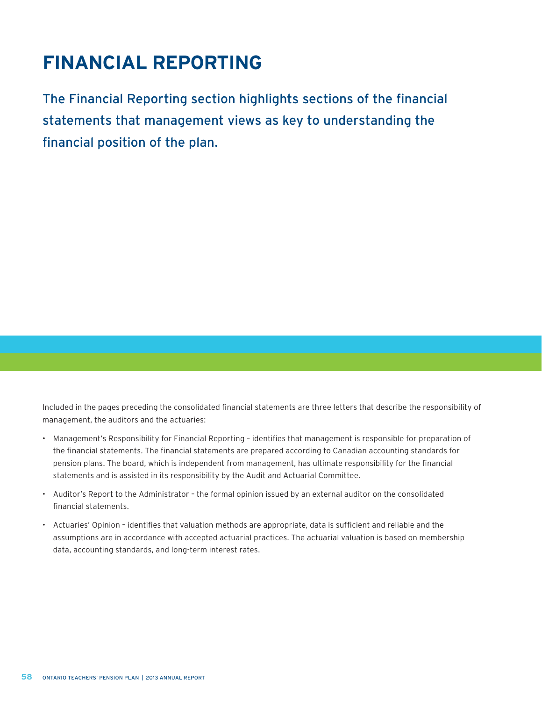# **FINANCIAL REPORTING**

The Financial Reporting section highlights sections of the financial statements that management views as key to understanding the financial position of the plan.

Included in the pages preceding the consolidated financial statements are three letters that describe the responsibility of management, the auditors and the actuaries:

- Management's Responsibility for Financial Reporting identifies that management is responsible for preparation of the financial statements. The financial statements are prepared according to Canadian accounting standards for pension plans. The board, which is independent from management, has ultimate responsibility for the financial statements and is assisted in its responsibility by the Audit and Actuarial Committee.
- Auditor's Report to the Administrator the formal opinion issued by an external auditor on the consolidated financial statements.
- Actuaries' Opinion identifies that valuation methods are appropriate, data is sufficient and reliable and the assumptions are in accordance with accepted actuarial practices. The actuarial valuation is based on membership data, accounting standards, and long-term interest rates.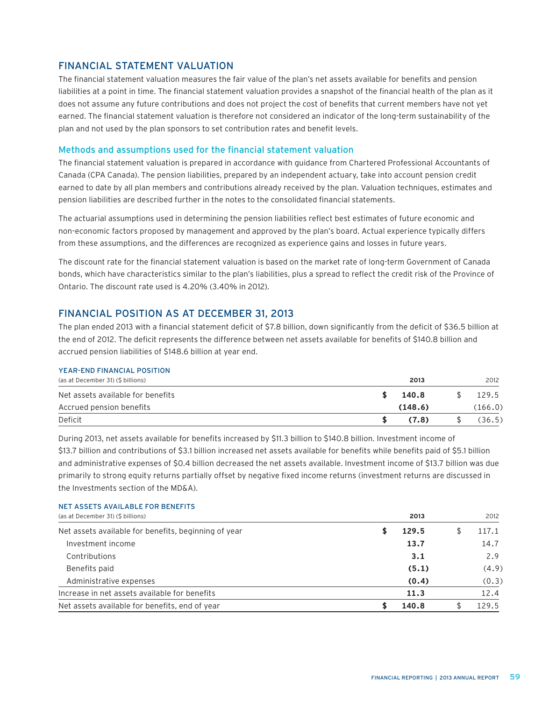# FINANCIAL STATEMENT VALUATION

The financial statement valuation measures the fair value of the plan's net assets available for benefits and pension liabilities at a point in time. The financial statement valuation provides a snapshot of the financial health of the plan as it does not assume any future contributions and does not project the cost of benefits that current members have not yet earned. The financial statement valuation is therefore not considered an indicator of the long-term sustainability of the plan and not used by the plan sponsors to set contribution rates and benefit levels.

### Methods and assumptions used for the financial statement valuation

The financial statement valuation is prepared in accordance with quidance from Chartered Professional Accountants of Canada (CPA Canada). The pension liabilities, prepared by an independent actuary, take into account pension credit earned to date by all plan members and contributions already received by the plan. Valuation techniques, estimates and pension liabilities are described further in the notes to the consolidated financial statements.

The actuarial assumptions used in determining the pension liabilities reflect best estimates of future economic and non-economic factors proposed by management and approved by the plan's board. Actual experience typically differs from these assumptions, and the differences are recognized as experience gains and losses in future years.

The discount rate for the financial statement valuation is based on the market rate of long-term Government of Canada bonds, which have characteristics similar to the plan's liabilities, plus a spread to reflect the credit risk of the Province of Ontario. The discount rate used is 4.20% (3.40% in 2012).

# FINANCIAL POSITION AS AT DECEMBER 31, 2013

The plan ended 2013 with a financial statement deficit of \$7.8 billion, down significantly from the deficit of \$36.5 billion at the end of 2012. The deficit represents the difference between net assets available for benefits of \$140.8 billion and accrued pension liabilities of \$148.6 billion at year end.

#### YEAR-END FINANCIAL POSITION

| (as at December 31) (\$ billions) | 2013    | 2012    |
|-----------------------------------|---------|---------|
| Net assets available for benefits | 140.8   | 129.5   |
| Accrued pension benefits          | (148.6) | (166.0) |
| Deficit                           | (7.8)   | (36.5)  |

During 2013, net assets available for benefits increased by \$11.3 billion to \$140.8 billion. Investment income of \$13.7 billion and contributions of \$3.1 billion increased net assets available for benefits while benefits paid of \$5.1 billion and administrative expenses of \$0.4 billion decreased the net assets available. Investment income of \$13.7 billion was due primarily to strong equity returns partially offset by negative fixed income returns (investment returns are discussed in the Investments section of the MD&A).

### NET ASSETS AVAILABLE FOR BENEFITS

| (as at December 31) (\$ billions)                    | 2013  | 2012  |
|------------------------------------------------------|-------|-------|
| Net assets available for benefits, beginning of year | 129.5 | 117.1 |
| Investment income                                    | 13.7  | 14.7  |
| Contributions                                        | 3.1   | 2.9   |
| Benefits paid                                        | (5.1) | (4.9) |
| Administrative expenses                              | (0.4) | (0.3) |
| Increase in net assets available for benefits        | 11.3  | 12.4  |
| Net assets available for benefits, end of year       | 140.8 | 129.5 |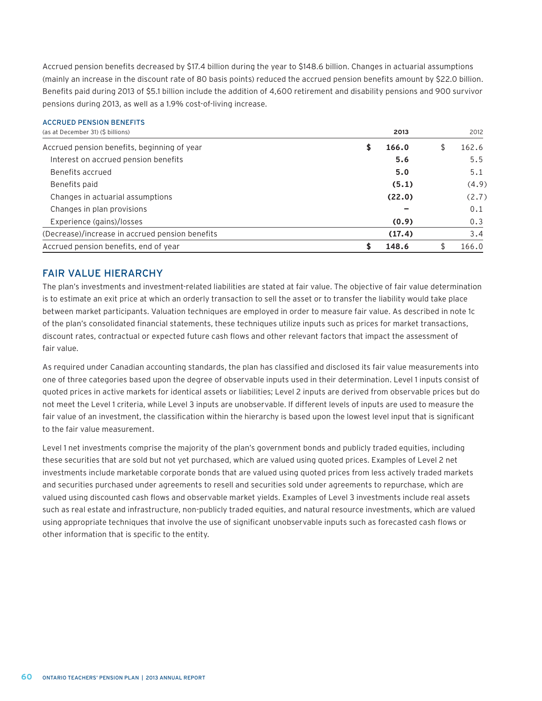Accrued pension benefits decreased by \$17.4 billion during the year to \$148.6 billion. Changes in actuarial assumptions (mainly an increase in the discount rate of 80 basis points) reduced the accrued pension benefits amount by \$22.0 billion. Benefits paid during 2013 of \$5.1 billion include the addition of 4,600 retirement and disability pensions and 900 survivor pensions during 2013, as well as a 1.9% cost-of-living increase.

### ACCRUED PENSION BENEFITS

| (as at December 31) (\$ billions)               | 2013   | 2012        |
|-------------------------------------------------|--------|-------------|
| Accrued pension benefits, beginning of year     | 166.0  | \$<br>162.6 |
| Interest on accrued pension benefits            | 5.6    | 5.5         |
| Benefits accrued                                | 5.0    | 5.1         |
| Benefits paid                                   | (5.1)  | (4.9)       |
| Changes in actuarial assumptions                | (22.0) | (2.7)       |
| Changes in plan provisions                      |        | 0.1         |
| Experience (gains)/losses                       | (0.9)  | 0.3         |
| (Decrease)/increase in accrued pension benefits | (17.4) | 3.4         |
| Accrued pension benefits, end of year           | 148.6  | 166.0       |

# FAIR VALUE HIERARCHY

The plan's investments and investment-related liabilities are stated at fair value. The objective of fair value determination is to estimate an exit price at which an orderly transaction to sell the asset or to transfer the liability would take place between market participants. Valuation techniques are employed in order to measure fair value. As described in note 1c of the plan's consolidated financial statements, these techniques utilize inputs such as prices for market transactions, discount rates, contractual or expected future cash flows and other relevant factors that impact the assessment of fair value.

As required under Canadian accounting standards, the plan has classified and disclosed its fair value measurements into one of three categories based upon the degree of observable inputs used in their determination. Level 1 inputs consist of quoted prices in active markets for identical assets or liabilities; Level 2 inputs are derived from observable prices but do not meet the Level 1 criteria, while Level 3 inputs are unobservable. If different levels of inputs are used to measure the fair value of an investment, the classification within the hierarchy is based upon the lowest level input that is significant to the fair value measurement.

Level 1 net investments comprise the majority of the plan's government bonds and publicly traded equities, including these securities that are sold but not yet purchased, which are valued using quoted prices. Examples of Level 2 net investments include marketable corporate bonds that are valued using quoted prices from less actively traded markets and securities purchased under agreements to resell and securities sold under agreements to repurchase, which are valued using discounted cash flows and observable market yields. Examples of Level 3 investments include real assets such as real estate and infrastructure, non-publicly traded equities, and natural resource investments, which are valued using appropriate techniques that involve the use of significant unobservable inputs such as forecasted cash flows or other information that is specific to the entity.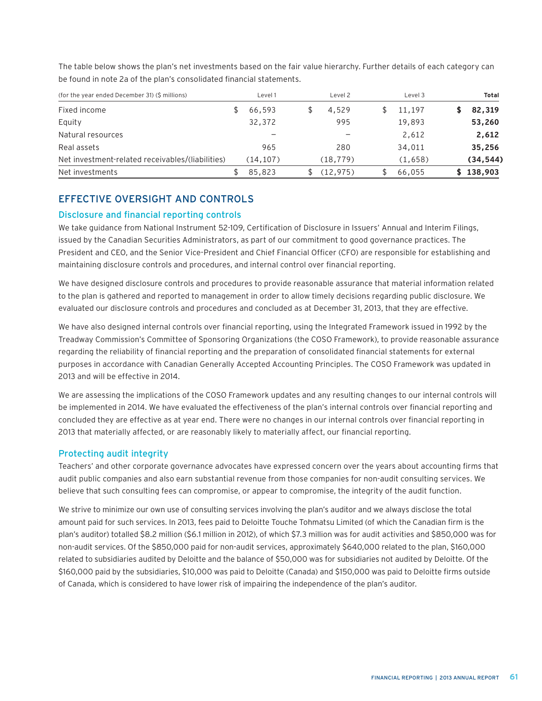| (for the year ended December 31) (\$ millions)   | Level 1   | Level 2   | Level 3 | Total     |
|--------------------------------------------------|-----------|-----------|---------|-----------|
| Fixed income                                     | 66,593    | 4,529     | 11,197  | 82,319    |
| Equity                                           | 32,372    | 995       | 19,893  | 53,260    |
| Natural resources                                |           |           | 2,612   | 2,612     |
| Real assets                                      | 965       | 280       | 34,011  | 35,256    |
| Net investment-related receivables/(liabilities) | (14, 107) | (18, 779) | (1,658) | (34, 544) |
| Net investments                                  | 85,823    | (12.975)  | 66,055  | 138,903   |

The table below shows the plan's net investments based on the fair value hierarchy. Further details of each category can be found in note 2a of the plan's consolidated financial statements.

# EFFECTIVE OVERSIGHT AND CONTROLS

## Disclosure and financial reporting controls

We take guidance from National Instrument 52-109, Certification of Disclosure in Issuers' Annual and Interim Filings, issued by the Canadian Securities Administrators, as part of our commitment to good governance practices. The President and CEO, and the Senior Vice-President and Chief Financial Officer (CFO) are responsible for establishing and maintaining disclosure controls and procedures, and internal control over financial reporting.

We have designed disclosure controls and procedures to provide reasonable assurance that material information related to the plan is gathered and reported to management in order to allow timely decisions regarding public disclosure. We evaluated our disclosure controls and procedures and concluded as at December 31, 2013, that they are effective.

We have also designed internal controls over financial reporting, using the Integrated Framework issued in 1992 by the Treadway Commission's Committee of Sponsoring Organizations (the COSO Framework), to provide reasonable assurance regarding the reliability of financial reporting and the preparation of consolidated financial statements for external purposes in accordance with Canadian Generally Accepted Accounting Principles. The COSO Framework was updated in 2013 and will be effective in 2014.

We are assessing the implications of the COSO Framework updates and any resulting changes to our internal controls will be implemented in 2014. We have evaluated the effectiveness of the plan's internal controls over financial reporting and concluded they are effective as at year end. There were no changes in our internal controls over financial reporting in 2013 that materially affected, or are reasonably likely to materially affect, our financial reporting.

# Protecting audit integrity

Teachers' and other corporate governance advocates have expressed concern over the years about accounting firms that audit public companies and also earn substantial revenue from those companies for non-audit consulting services. We believe that such consulting fees can compromise, or appear to compromise, the integrity of the audit function.

We strive to minimize our own use of consulting services involving the plan's auditor and we always disclose the total amount paid for such services. In 2013, fees paid to Deloitte Touche Tohmatsu Limited (of which the Canadian firm is the plan's auditor) totalled \$8.2 million (\$6.1 million in 2012), of which \$7.3 million was for audit activities and \$850,000 was for non-audit services. Of the \$850,000 paid for non-audit services, approximately \$640,000 related to the plan, \$160,000 related to subsidiaries audited by Deloitte and the balance of \$50,000 was for subsidiaries not audited by Deloitte. Of the \$160,000 paid by the subsidiaries, \$10,000 was paid to Deloitte (Canada) and \$150,000 was paid to Deloitte firms outside of Canada, which is considered to have lower risk of impairing the independence of the plan's auditor.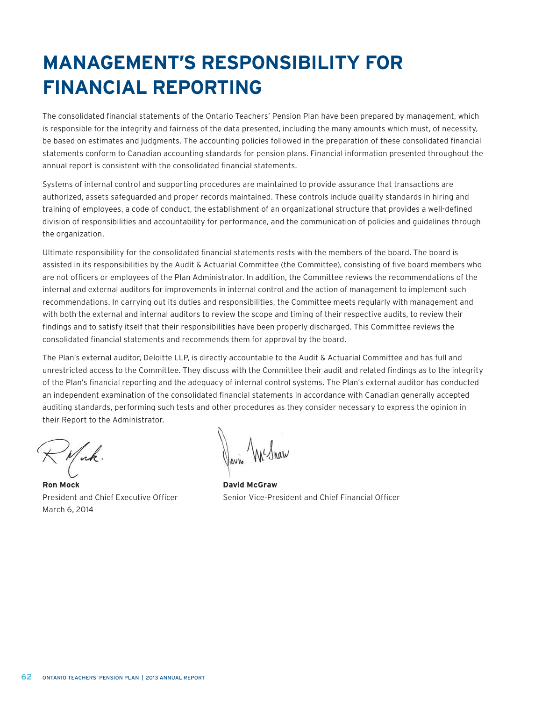# **MANAGEMENT'S RESPONSIBILITY FOR FINANCIAL REPORTING**

The consolidated financial statements of the Ontario Teachers' Pension Plan have been prepared by management, which is responsible for the integrity and fairness of the data presented, including the many amounts which must, of necessity, be based on estimates and judgments. The accounting policies followed in the preparation of these consolidated financial statements conform to Canadian accounting standards for pension plans. Financial information presented throughout the annual report is consistent with the consolidated financial statements.

Systems of internal control and supporting procedures are maintained to provide assurance that transactions are authorized, assets safeguarded and proper records maintained. These controls include quality standards in hiring and training of employees, a code of conduct, the establishment of an organizational structure that provides a well-defined division of responsibilities and accountability for performance, and the communication of policies and guidelines through the organization.

Ultimate responsibility for the consolidated financial statements rests with the members of the board. The board is assisted in its responsibilities by the Audit & Actuarial Committee (the Committee), consisting of five board members who are not officers or employees of the Plan Administrator. In addition, the Committee reviews the recommendations of the internal and external auditors for improvements in internal control and the action of management to implement such recommendations. In carrying out its duties and responsibilities, the Committee meets regularly with management and with both the external and internal auditors to review the scope and timing of their respective audits, to review their findings and to satisfy itself that their responsibilities have been properly discharged. This Committee reviews the consolidated financial statements and recommends them for approval by the board.

The Plan's external auditor, Deloitte LLP, is directly accountable to the Audit & Actuarial Committee and has full and unrestricted access to the Committee. They discuss with the Committee their audit and related findings as to the integrity of the Plan's fi nancial reporting and the adequacy of internal control systems. The Plan's external auditor has conducted an independent examination of the consolidated financial statements in accordance with Canadian generally accepted auditing standards, performing such tests and other procedures as they consider necessary to express the opinion in their Report to the Administrator.

Mak.

**Ron Mock David McGraw** March 6, 2014

Ini McJnaw

President and Chief Executive Officer Senior Vice-President and Chief Financial Officer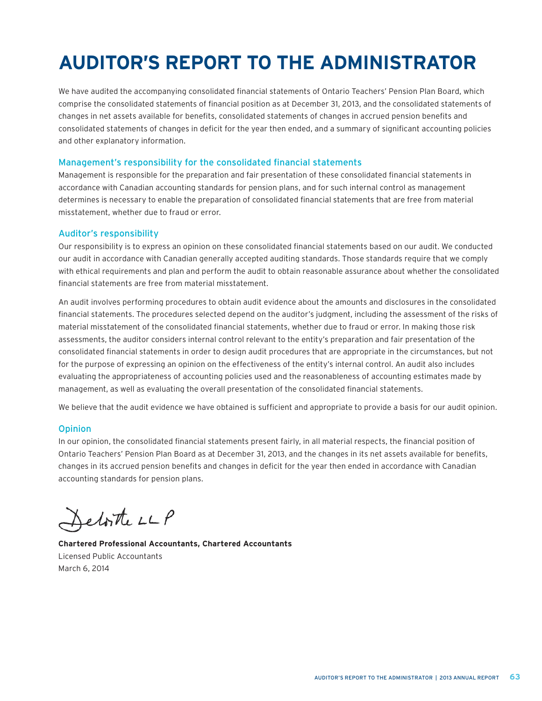# **AUDITOR'S REPORT TO THE ADMINISTRATOR**

We have audited the accompanying consolidated financial statements of Ontario Teachers' Pension Plan Board, which comprise the consolidated statements of financial position as at December 31, 2013, and the consolidated statements of changes in net assets available for benefits, consolidated statements of changes in accrued pension benefits and consolidated statements of changes in deficit for the year then ended, and a summary of significant accounting policies and other explanatory information.

### Management's responsibility for the consolidated financial statements

Management is responsible for the preparation and fair presentation of these consolidated financial statements in accordance with Canadian accounting standards for pension plans, and for such internal control as management determines is necessary to enable the preparation of consolidated financial statements that are free from material misstatement, whether due to fraud or error.

### Auditor's responsibility

Our responsibility is to express an opinion on these consolidated financial statements based on our audit. We conducted our audit in accordance with Canadian generally accepted auditing standards. Those standards require that we comply with ethical requirements and plan and perform the audit to obtain reasonable assurance about whether the consolidated financial statements are free from material misstatement.

An audit involves performing procedures to obtain audit evidence about the amounts and disclosures in the consolidated financial statements. The procedures selected depend on the auditor's judgment, including the assessment of the risks of material misstatement of the consolidated financial statements, whether due to fraud or error. In making those risk assessments, the auditor considers internal control relevant to the entity's preparation and fair presentation of the consolidated financial statements in order to design audit procedures that are appropriate in the circumstances, but not for the purpose of expressing an opinion on the effectiveness of the entity's internal control. An audit also includes evaluating the appropriateness of accounting policies used and the reasonableness of accounting estimates made by management, as well as evaluating the overall presentation of the consolidated financial statements.

We believe that the audit evidence we have obtained is sufficient and appropriate to provide a basis for our audit opinion.

### **Opinion**

In our opinion, the consolidated financial statements present fairly, in all material respects, the financial position of Ontario Teachers' Pension Plan Board as at December 31, 2013, and the changes in its net assets available for benefits, changes in its accrued pension benefits and changes in deficit for the year then ended in accordance with Canadian accounting standards for pension plans.

Debothe LLP

**Chartered Professional Accountants, Chartered Accountants** Licensed Public Accountants March 6, 2014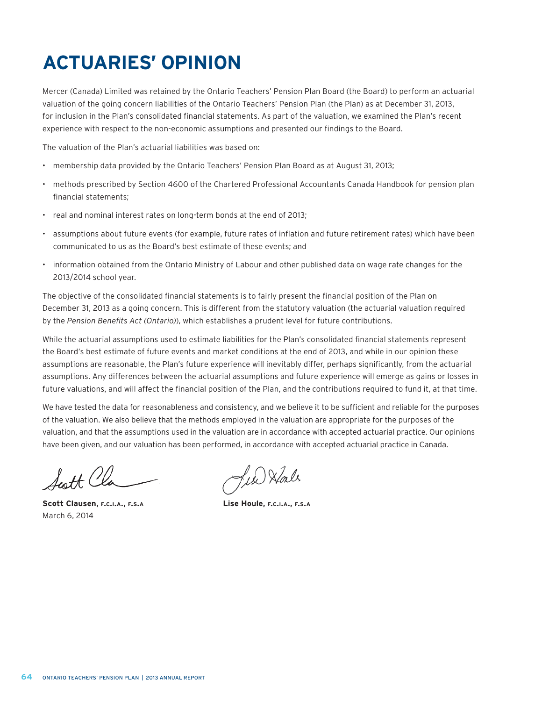# **ACTUARIES' OPINION**

Mercer (Canada) Limited was retained by the Ontario Teachers' Pension Plan Board (the Board) to perform an actuarial valuation of the going concern liabilities of the Ontario Teachers' Pension Plan (the Plan) as at December 31, 2013, for inclusion in the Plan's consolidated financial statements. As part of the valuation, we examined the Plan's recent experience with respect to the non-economic assumptions and presented our findings to the Board.

The valuation of the Plan's actuarial liabilities was based on:

- membership data provided by the Ontario Teachers' Pension Plan Board as at August 31, 2013;
- methods prescribed by Section 4600 of the Chartered Professional Accountants Canada Handbook for pension plan financial statements;
- real and nominal interest rates on long-term bonds at the end of 2013;
- assumptions about future events (for example, future rates of inflation and future retirement rates) which have been communicated to us as the Board's best estimate of these events; and
- information obtained from the Ontario Ministry of Labour and other published data on wage rate changes for the 2013/2014 school year.

The objective of the consolidated financial statements is to fairly present the financial position of the Plan on December 31, 2013 as a going concern. This is different from the statutory valuation (the actuarial valuation required by the *Pension Benefits Act (Ontario)*), which establishes a prudent level for future contributions.

While the actuarial assumptions used to estimate liabilities for the Plan's consolidated financial statements represent the Board's best estimate of future events and market conditions at the end of 2013, and while in our opinion these assumptions are reasonable, the Plan's future experience will inevitably differ, perhaps significantly, from the actuarial assumptions. Any differences between the actuarial assumptions and future experience will emerge as gains or losses in future valuations, and will affect the financial position of the Plan, and the contributions required to fund it, at that time.

We have tested the data for reasonableness and consistency, and we believe it to be sufficient and reliable for the purposes of the valuation. We also believe that the methods employed in the valuation are appropriate for the purposes of the valuation, and that the assumptions used in the valuation are in accordance with accepted actuarial practice. Our opinions have been given, and our valuation has been performed, in accordance with accepted actuarial practice in Canada.

Seott Cla

**Scott Clausen, F.C.I.A., F.S.A Lise Houle, F.C.I.A., F.S.A** March 6, 2014

Jew Hale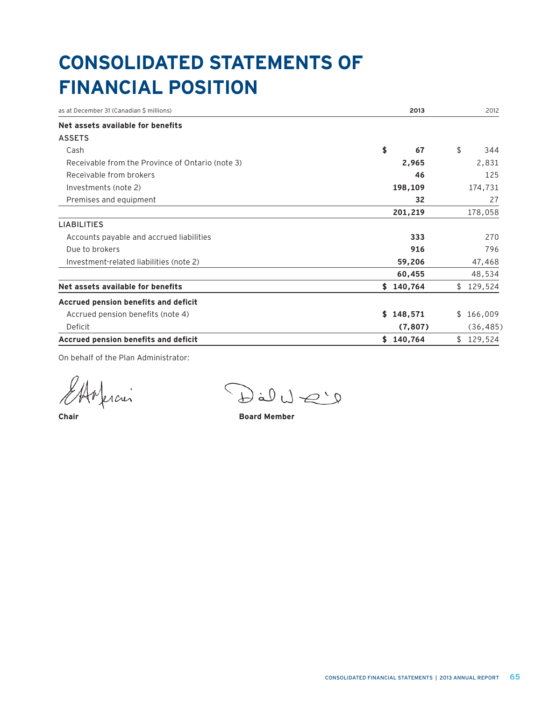# **CONSOLIDATED STATEMENTS OF FINANCIAL POSITION**

| as at December 31 (Canadian \$ millions)         | 2013          | 2012          |
|--------------------------------------------------|---------------|---------------|
| Net assets available for benefits                |               |               |
| <b>ASSETS</b>                                    |               |               |
| Cash                                             | \$<br>67      | \$<br>344     |
| Receivable from the Province of Ontario (note 3) | 2,965         | 2,831         |
| Receivable from brokers                          | 46            | 125           |
| Investments (note 2)                             | 198,109       | 174,731       |
| Premises and equipment                           | 32            | 27            |
|                                                  | 201,219       | 178,058       |
| <b>LIABILITIES</b>                               |               |               |
| Accounts payable and accrued liabilities         | 333           | 270           |
| Due to brokers                                   | 916           | 796           |
| Investment-related liabilities (note 2)          | 59,206        | 47,468        |
|                                                  | 60,455        | 48,534        |
| Net assets available for benefits                | \$<br>140,764 | 129,524<br>\$ |
| Accrued pension benefits and deficit             |               |               |
| Accrued pension benefits (note 4)                | \$148,571     | \$<br>166,009 |
| Deficit                                          | (7,807)       | (36, 485)     |
| Accrued pension benefits and deficit             | 140,764<br>S. | \$129,524     |

On behalf of the Plan Administrator:

EANfrais

 $\bigcirc \text{Id} \cup \text{Id} \text{Id}$ 

**Chair Board Member**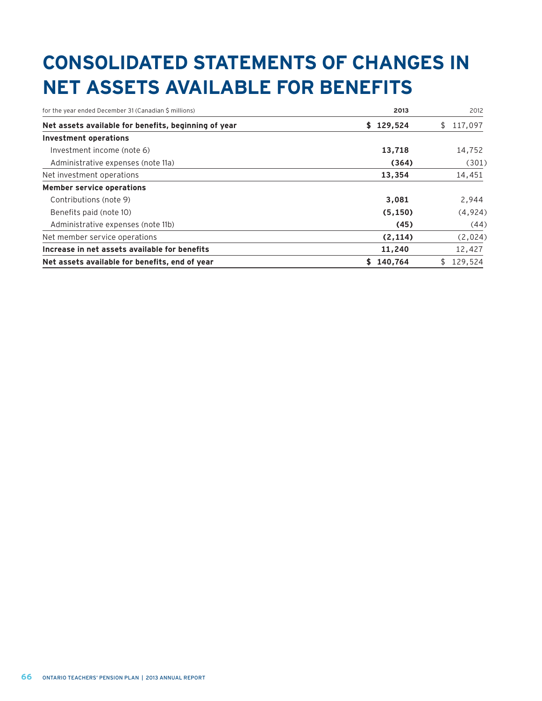# **CONSOLIDATED STATEMENTS OF CHANGES IN NET ASSETS AVAILABLE FOR BENEFITS**

| for the year ended December 31 (Canadian \$ millions) | 2013          | 2012          |
|-------------------------------------------------------|---------------|---------------|
| Net assets available for benefits, beginning of year  | \$129,524     | \$117,097     |
| <b>Investment operations</b>                          |               |               |
| Investment income (note 6)                            | 13,718        | 14,752        |
| Administrative expenses (note 11a)                    | (364)         | (301)         |
| Net investment operations                             | 13,354        | 14,451        |
| <b>Member service operations</b>                      |               |               |
| Contributions (note 9)                                | 3,081         | 2,944         |
| Benefits paid (note 10)                               | (5, 150)      | (4, 924)      |
| Administrative expenses (note 11b)                    | (45)          | (44)          |
| Net member service operations                         | (2, 114)      | (2,024)       |
| Increase in net assets available for benefits         | 11,240        | 12,427        |
| Net assets available for benefits, end of year        | \$<br>140,764 | 129,524<br>\$ |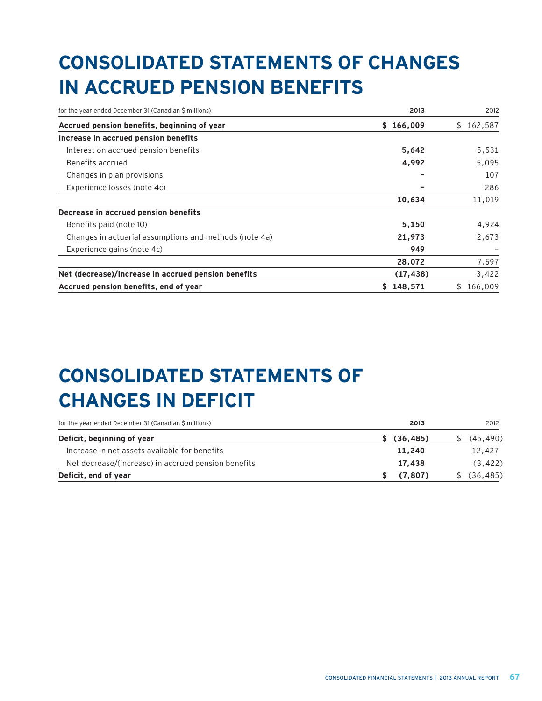# **CONSOLIDATED STATEMENTS OF CHANGES IN ACCRUED PENSION BENEFITS**

| for the year ended December 31 (Canadian \$ millions)  | 2013      | 2012          |
|--------------------------------------------------------|-----------|---------------|
| Accrued pension benefits, beginning of year            | \$166,009 | \$162,587     |
| Increase in accrued pension benefits                   |           |               |
| Interest on accrued pension benefits                   | 5,642     | 5,531         |
| Benefits accrued                                       | 4,992     | 5,095         |
| Changes in plan provisions                             |           | 107           |
| Experience losses (note 4c)                            |           | 286           |
|                                                        | 10,634    | 11,019        |
| Decrease in accrued pension benefits                   |           |               |
| Benefits paid (note 10)                                | 5,150     | 4,924         |
| Changes in actuarial assumptions and methods (note 4a) | 21,973    | 2,673         |
| Experience gains (note 4c)                             | 949       |               |
|                                                        | 28,072    | 7,597         |
| Net (decrease)/increase in accrued pension benefits    | (17, 438) | 3,422         |
| Accrued pension benefits, end of year                  | \$148,571 | 166,009<br>£. |

# **CONSOLIDATED STATEMENTS OF CHANGES IN DEFICIT**

| for the year ended December 31 (Canadian \$ millions) | 2013        | 2012            |
|-------------------------------------------------------|-------------|-----------------|
| Deficit, beginning of year                            | \$(36, 485) | (45, 490)<br>S. |
| Increase in net assets available for benefits         | 11,240      | 12,427          |
| Net decrease/(increase) in accrued pension benefits   | 17.438      | (3, 422)        |
| Deficit, end of year                                  | (7.807)     | \$(36, 485)     |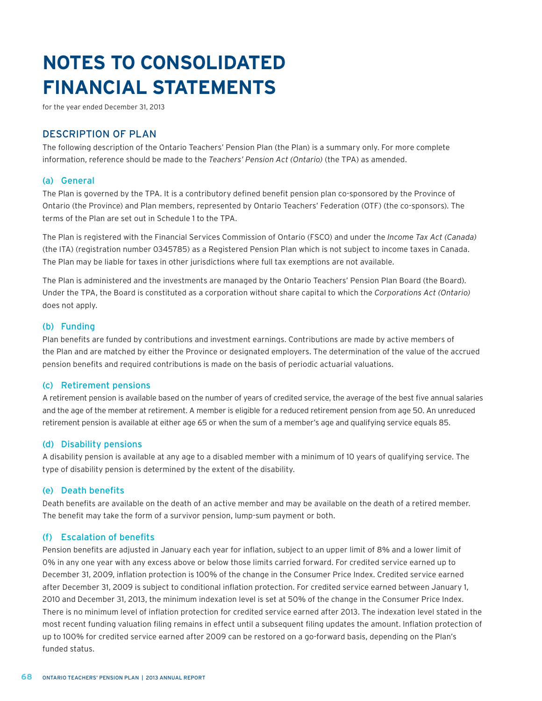# **NOTES TO CONSOLIDATED FINANCIAL STATEMENTS**

for the year ended December 31, 2013

# DESCRIPTION OF PLAN

The following description of the Ontario Teachers' Pension Plan (the Plan) is a summary only. For more complete information, reference should be made to the *Teachers' Pension Act (Ontario)* (the TPA) as amended.

## (a) General

The Plan is governed by the TPA. It is a contributory defined benefit pension plan co-sponsored by the Province of Ontario (the Province) and Plan members, represented by Ontario Teachers' Federation (OTF) (the co-sponsors). The terms of the Plan are set out in Schedule 1 to the TPA.

The Plan is registered with the Financial Services Commission of Ontario (FSCO) and under the *Income Tax Act (Canada)* (the ITA) (registration number 0345785) as a Registered Pension Plan which is not subject to income taxes in Canada. The Plan may be liable for taxes in other jurisdictions where full tax exemptions are not available.

The Plan is administered and the investments are managed by the Ontario Teachers' Pension Plan Board (the Board). Under the TPA, the Board is constituted as a corporation without share capital to which the *Corporations Act (Ontario)* does not apply.

## (b) Funding

Plan benefits are funded by contributions and investment earnings. Contributions are made by active members of the Plan and are matched by either the Province or designated employers. The determination of the value of the accrued pension benefits and required contributions is made on the basis of periodic actuarial valuations.

### (c) Retirement pensions

A retirement pension is available based on the number of years of credited service, the average of the best five annual salaries and the age of the member at retirement. A member is eligible for a reduced retirement pension from age 50. An unreduced retirement pension is available at either age 65 or when the sum of a member's age and qualifying service equals 85.

### (d) Disability pensions

A disability pension is available at any age to a disabled member with a minimum of 10 years of qualifying service. The type of disability pension is determined by the extent of the disability.

### (e) Death benefits

Death benefits are available on the death of an active member and may be available on the death of a retired member. The benefit may take the form of a survivor pension, lump-sum payment or both.

# (f) Escalation of benefits

Pension benefits are adjusted in January each year for inflation, subject to an upper limit of 8% and a lower limit of 0% in any one year with any excess above or below those limits carried forward. For credited service earned up to December 31, 2009, inflation protection is 100% of the change in the Consumer Price Index. Credited service earned after December 31, 2009 is subject to conditional inflation protection. For credited service earned between January 1, 2010 and December 31, 2013, the minimum indexation level is set at 50% of the change in the Consumer Price Index. There is no minimum level of inflation protection for credited service earned after 2013. The indexation level stated in the most recent funding valuation filing remains in effect until a subsequent filing updates the amount. Inflation protection of up to 100% for credited service earned after 2009 can be restored on a go-forward basis, depending on the Plan's funded status.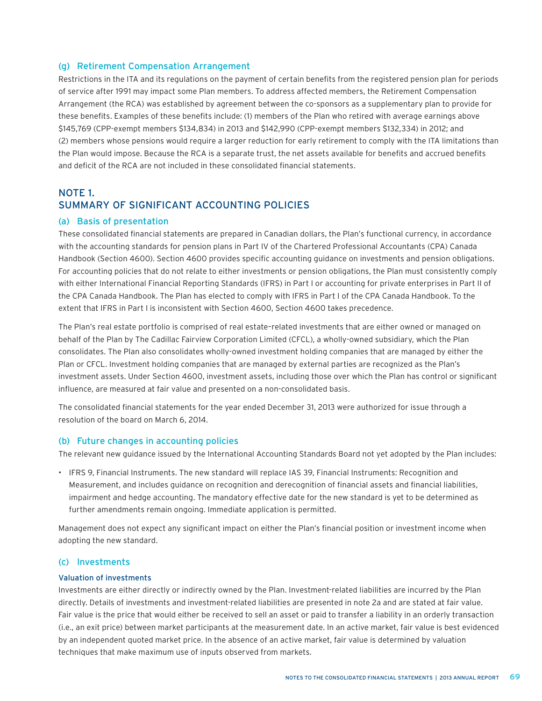## (g) Retirement Compensation Arrangement

Restrictions in the ITA and its regulations on the payment of certain benefits from the registered pension plan for periods of service after 1991 may impact some Plan members. To address affected members, the Retirement Compensation Arrangement (the RCA) was established by agreement between the co-sponsors as a supplementary plan to provide for these benefits. Examples of these benefits include: (1) members of the Plan who retired with average earnings above \$145,769 (CPP-exempt members \$134,834) in 2013 and \$142,990 (CPP-exempt members \$132,334) in 2012; and (2) members whose pensions would require a larger reduction for early retirement to comply with the ITA limitations than the Plan would impose. Because the RCA is a separate trust, the net assets available for benefits and accrued benefits and deficit of the RCA are not included in these consolidated financial statements.

# NOTE 1. SUMMARY OF SIGNIFICANT ACCOUNTING POLICIES

### (a) Basis of presentation

These consolidated financial statements are prepared in Canadian dollars, the Plan's functional currency, in accordance with the accounting standards for pension plans in Part IV of the Chartered Professional Accountants (CPA) Canada Handbook (Section 4600). Section 4600 provides specific accounting guidance on investments and pension obligations. For accounting policies that do not relate to either investments or pension obligations, the Plan must consistently comply with either International Financial Reporting Standards (IFRS) in Part I or accounting for private enterprises in Part II of the CPA Canada Handbook. The Plan has elected to comply with IFRS in Part I of the CPA Canada Handbook. To the extent that IFRS in Part I is inconsistent with Section 4600, Section 4600 takes precedence.

The Plan's real estate portfolio is comprised of real estate–related investments that are either owned or managed on behalf of the Plan by The Cadillac Fairview Corporation Limited (CFCL), a wholly-owned subsidiary, which the Plan consolidates. The Plan also consolidates wholly-owned investment holding companies that are managed by either the Plan or CFCL. Investment holding companies that are managed by external parties are recognized as the Plan's investment assets. Under Section 4600, investment assets, including those over which the Plan has control or significant influence, are measured at fair value and presented on a non-consolidated basis.

The consolidated financial statements for the year ended December 31, 2013 were authorized for issue through a resolution of the board on March 6, 2014.

### (b) Future changes in accounting policies

The relevant new guidance issued by the International Accounting Standards Board not yet adopted by the Plan includes:

• IFRS 9, Financial Instruments. The new standard will replace IAS 39, Financial Instruments: Recognition and Measurement, and includes guidance on recognition and derecognition of financial assets and financial liabilities, impairment and hedge accounting. The mandatory effective date for the new standard is yet to be determined as further amendments remain ongoing. Immediate application is permitted.

Management does not expect any significant impact on either the Plan's financial position or investment income when adopting the new standard.

### (c) Investments

#### Valuation of investments

Investments are either directly or indirectly owned by the Plan. Investment-related liabilities are incurred by the Plan directly. Details of investments and investment-related liabilities are presented in note 2a and are stated at fair value. Fair value is the price that would either be received to sell an asset or paid to transfer a liability in an orderly transaction (i.e., an exit price) between market participants at the measurement date. In an active market, fair value is best evidenced by an independent quoted market price. In the absence of an active market, fair value is determined by valuation techniques that make maximum use of inputs observed from markets.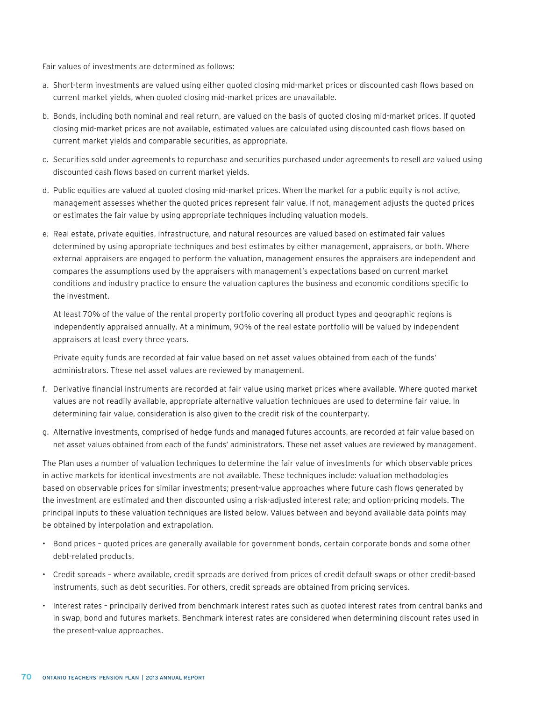Fair values of investments are determined as follows:

- a. Short-term investments are valued using either quoted closing mid-market prices or discounted cash flows based on current market yields, when quoted closing mid-market prices are unavailable.
- b. Bonds, including both nominal and real return, are valued on the basis of quoted closing mid-market prices. If quoted closing mid-market prices are not available, estimated values are calculated using discounted cash flows based on current market yields and comparable securities, as appropriate.
- c. Securities sold under agreements to repurchase and securities purchased under agreements to resell are valued using discounted cash flows based on current market yields.
- d. Public equities are valued at quoted closing mid-market prices. When the market for a public equity is not active, management assesses whether the quoted prices represent fair value. If not, management adjusts the quoted prices or estimates the fair value by using appropriate techniques including valuation models.
- e. Real estate, private equities, infrastructure, and natural resources are valued based on estimated fair values determined by using appropriate techniques and best estimates by either management, appraisers, or both. Where external appraisers are engaged to perform the valuation, management ensures the appraisers are independent and compares the assumptions used by the appraisers with management's expectations based on current market conditions and industry practice to ensure the valuation captures the business and economic conditions specific to the investment.

 At least 70% of the value of the rental property portfolio covering all product types and geographic regions is independently appraised annually. At a minimum, 90% of the real estate portfolio will be valued by independent appraisers at least every three years.

 Private equity funds are recorded at fair value based on net asset values obtained from each of the funds' administrators. These net asset values are reviewed by management.

- f. Derivative financial instruments are recorded at fair value using market prices where available. Where quoted market values are not readily available, appropriate alternative valuation techniques are used to determine fair value. In determining fair value, consideration is also given to the credit risk of the counterparty.
- g. Alternative investments, comprised of hedge funds and managed futures accounts, are recorded at fair value based on net asset values obtained from each of the funds' administrators. These net asset values are reviewed by management.

The Plan uses a number of valuation techniques to determine the fair value of investments for which observable prices in active markets for identical investments are not available. These techniques include: valuation methodologies based on observable prices for similar investments; present-value approaches where future cash flows generated by the investment are estimated and then discounted using a risk-adjusted interest rate; and option-pricing models. The principal inputs to these valuation techniques are listed below. Values between and beyond available data points may be obtained by interpolation and extrapolation.

- Bond prices quoted prices are generally available for government bonds, certain corporate bonds and some other debt-related products.
- Credit spreads where available, credit spreads are derived from prices of credit default swaps or other credit-based instruments, such as debt securities. For others, credit spreads are obtained from pricing services.
- Interest rates principally derived from benchmark interest rates such as quoted interest rates from central banks and in swap, bond and futures markets. Benchmark interest rates are considered when determining discount rates used in the present-value approaches.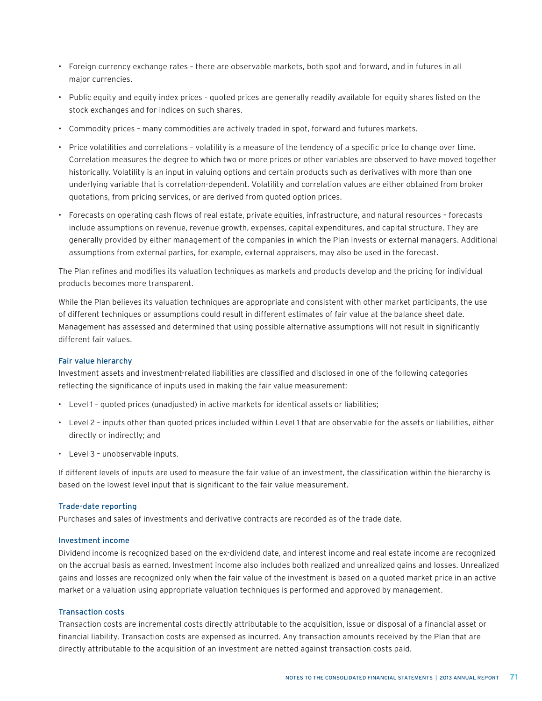- Foreign currency exchange rates there are observable markets, both spot and forward, and in futures in all major currencies.
- Public equity and equity index prices quoted prices are generally readily available for equity shares listed on the stock exchanges and for indices on such shares.
- Commodity prices many commodities are actively traded in spot, forward and futures markets.
- Price volatilities and correlations volatility is a measure of the tendency of a specific price to change over time. Correlation measures the degree to which two or more prices or other variables are observed to have moved together historically. Volatility is an input in valuing options and certain products such as derivatives with more than one underlying variable that is correlation-dependent. Volatility and correlation values are either obtained from broker quotations, from pricing services, or are derived from quoted option prices.
- Forecasts on operating cash flows of real estate, private equities, infrastructure, and natural resources forecasts include assumptions on revenue, revenue growth, expenses, capital expenditures, and capital structure. They are generally provided by either management of the companies in which the Plan invests or external managers. Additional assumptions from external parties, for example, external appraisers, may also be used in the forecast.

The Plan refines and modifies its valuation techniques as markets and products develop and the pricing for individual products becomes more transparent.

While the Plan believes its valuation techniques are appropriate and consistent with other market participants, the use of different techniques or assumptions could result in different estimates of fair value at the balance sheet date. Management has assessed and determined that using possible alternative assumptions will not result in significantly different fair values.

#### Fair value hierarchy

Investment assets and investment-related liabilities are classified and disclosed in one of the following categories reflecting the significance of inputs used in making the fair value measurement:

- Level 1 quoted prices (unadjusted) in active markets for identical assets or liabilities;
- Level 2 inputs other than quoted prices included within Level 1 that are observable for the assets or liabilities, either directly or indirectly; and
- Level 3 unobservable inputs.

If different levels of inputs are used to measure the fair value of an investment, the classification within the hierarchy is based on the lowest level input that is significant to the fair value measurement.

#### Trade-date reporting

Purchases and sales of investments and derivative contracts are recorded as of the trade date.

#### Investment income

Dividend income is recognized based on the ex-dividend date, and interest income and real estate income are recognized on the accrual basis as earned. Investment income also includes both realized and unrealized gains and losses. Unrealized gains and losses are recognized only when the fair value of the investment is based on a quoted market price in an active market or a valuation using appropriate valuation techniques is performed and approved by management.

#### Transaction costs

Transaction costs are incremental costs directly attributable to the acquisition, issue or disposal of a financial asset or financial liability. Transaction costs are expensed as incurred. Any transaction amounts received by the Plan that are directly attributable to the acquisition of an investment are netted against transaction costs paid.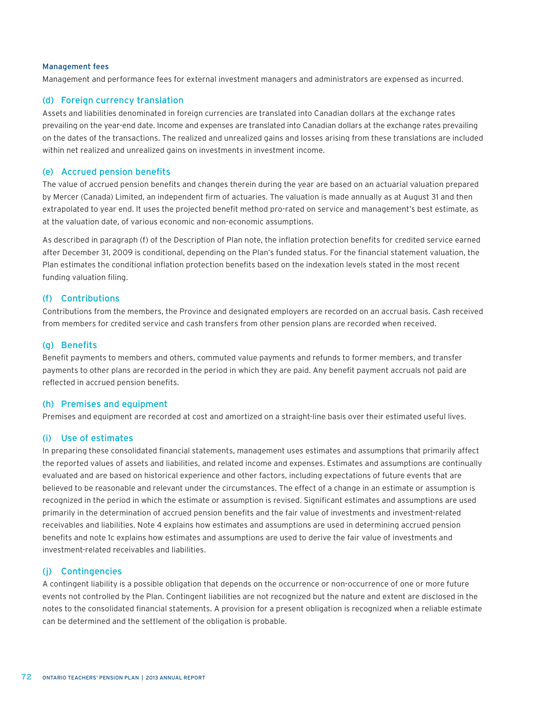#### Management fees

Management and performance fees for external investment managers and administrators are expensed as incurred.

### (d) Foreign currency translation

Assets and liabilities denominated in foreign currencies are translated into Canadian dollars at the exchange rates prevailing on the year-end date. Income and expenses are translated into Canadian dollars at the exchange rates prevailing on the dates of the transactions. The realized and unrealized gains and losses arising from these translations are included within net realized and unrealized gains on investments in investment income.

### (e) Accrued pension benefits

The value of accrued pension benefits and changes therein during the year are based on an actuarial valuation prepared by Mercer (Canada) Limited, an independent firm of actuaries. The valuation is made annually as at August 31 and then extrapolated to year end. It uses the projected benefit method pro-rated on service and management's best estimate, as at the valuation date, of various economic and non-economic assumptions.

As described in paragraph (f) of the Description of Plan note, the inflation protection benefits for credited service earned after December 31, 2009 is conditional, depending on the Plan's funded status. For the financial statement valuation, the Plan estimates the conditional inflation protection benefits based on the indexation levels stated in the most recent funding valuation filing.

#### (f) Contributions

Contributions from the members, the Province and designated employers are recorded on an accrual basis. Cash received from members for credited service and cash transfers from other pension plans are recorded when received.

### (g) Benefits

Benefit payments to members and others, commuted value payments and refunds to former members, and transfer payments to other plans are recorded in the period in which they are paid. Any benefit payment accruals not paid are reflected in accrued pension benefits.

#### (h) Premises and equipment

Premises and equipment are recorded at cost and amortized on a straight-line basis over their estimated useful lives.

### (i) Use of estimates

In preparing these consolidated financial statements, management uses estimates and assumptions that primarily affect the reported values of assets and liabilities, and related income and expenses. Estimates and assumptions are continually evaluated and are based on historical experience and other factors, including expectations of future events that are believed to be reasonable and relevant under the circumstances. The effect of a change in an estimate or assumption is recognized in the period in which the estimate or assumption is revised. Significant estimates and assumptions are used primarily in the determination of accrued pension benefits and the fair value of investments and investment-related receivables and liabilities. Note 4 explains how estimates and assumptions are used in determining accrued pension benefits and note 1c explains how estimates and assumptions are used to derive the fair value of investments and investment-related receivables and liabilities.

### (j) Contingencies

A contingent liability is a possible obligation that depends on the occurrence or non-occurrence of one or more future events not controlled by the Plan. Contingent liabilities are not recognized but the nature and extent are disclosed in the notes to the consolidated financial statements. A provision for a present obligation is recognized when a reliable estimate can be determined and the settlement of the obligation is probable.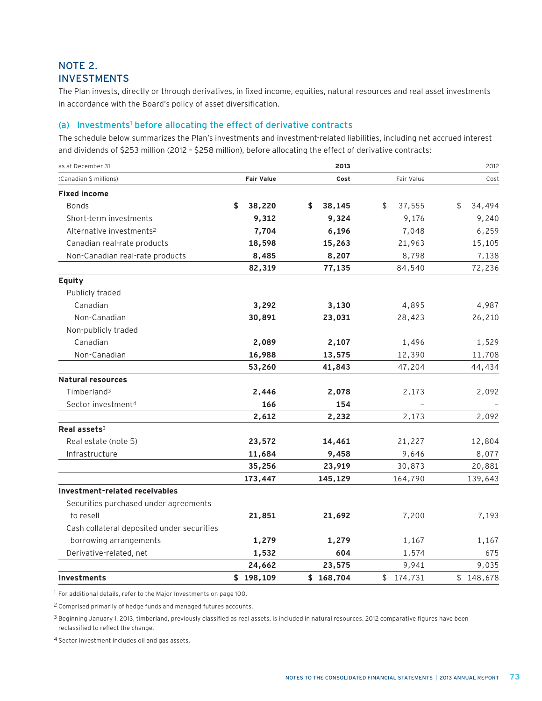# NOTE 2. INVESTMENTS

The Plan invests, directly or through derivatives, in fixed income, equities, natural resources and real asset investments in accordance with the Board's policy of asset diversification.

# (a) Investments<sup>1</sup> before allocating the effect of derivative contracts

The schedule below summarizes the Plan's investments and investment-related liabilities, including net accrued interest and dividends of \$253 million (2012 – \$258 million), before allocating the effect of derivative contracts:

| as at December 31                          |                   | 2013         |               | 2012         |
|--------------------------------------------|-------------------|--------------|---------------|--------------|
| (Canadian \$ millions)                     | <b>Fair Value</b> | Cost         | Fair Value    | Cost         |
| <b>Fixed income</b>                        |                   |              |               |              |
| <b>Bonds</b>                               | \$<br>38,220      | \$<br>38,145 | \$<br>37,555  | \$<br>34,494 |
| Short-term investments                     | 9,312             | 9,324        | 9,176         | 9,240        |
| Alternative investments <sup>2</sup>       | 7,704             | 6,196        | 7,048         | 6,259        |
| Canadian real-rate products                | 18,598            | 15,263       | 21,963        | 15,105       |
| Non-Canadian real-rate products            | 8,485             | 8,207        | 8,798         | 7,138        |
|                                            | 82,319            | 77,135       | 84,540        | 72,236       |
| Equity                                     |                   |              |               |              |
| Publicly traded                            |                   |              |               |              |
| Canadian                                   | 3,292             | 3,130        | 4,895         | 4,987        |
| Non-Canadian                               | 30,891            | 23,031       | 28,423        | 26,210       |
| Non-publicly traded                        |                   |              |               |              |
| Canadian                                   | 2,089             | 2,107        | 1,496         | 1,529        |
| Non-Canadian                               | 16,988            | 13,575       | 12,390        | 11,708       |
|                                            | 53,260            | 41,843       | 47,204        | 44,434       |
| <b>Natural resources</b>                   |                   |              |               |              |
| Timberland <sup>3</sup>                    | 2,446             | 2,078        | 2,173         | 2,092        |
| Sector investment <sup>4</sup>             | 166               | 154          |               |              |
|                                            | 2,612             | 2,232        | 2,173         | 2,092        |
| Real assets <sup>3</sup>                   |                   |              |               |              |
| Real estate (note 5)                       | 23,572            | 14,461       | 21,227        | 12,804       |
| Infrastructure                             | 11,684            | 9,458        | 9,646         | 8,077        |
|                                            | 35,256            | 23,919       | 30,873        | 20,881       |
|                                            | 173,447           | 145,129      | 164,790       | 139,643      |
| Investment-related receivables             |                   |              |               |              |
| Securities purchased under agreements      |                   |              |               |              |
| to resell                                  | 21,851            | 21,692       | 7,200         | 7,193        |
| Cash collateral deposited under securities |                   |              |               |              |
| borrowing arrangements                     | 1,279             | 1,279        | 1,167         | 1,167        |
| Derivative-related, net                    | 1,532             | 604          | 1,574         | 675          |
|                                            | 24,662            | 23,575       | 9,941         | 9,035        |
| <b>Investments</b>                         | \$198,109         | \$168,704    | \$<br>174,731 | \$148,678    |

1 For additional details, refer to the Major Investments on page 100.

2 Comprised primarily of hedge funds and managed futures accounts.

3 Beginning January 1, 2013, timberland, previously classified as real assets, is included in natural resources. 2012 comparative figures have been reclassified to reflect the change.

4 Sector investment includes oil and gas assets.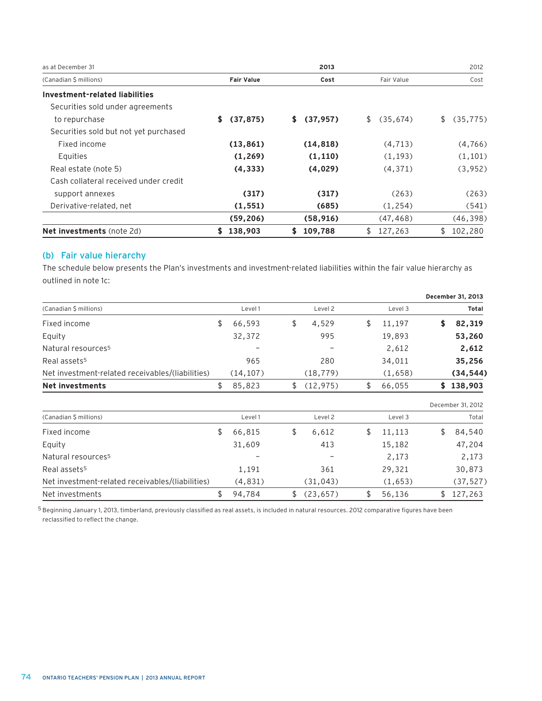| as at December 31                     |                   | 2013          |                 | 2012            |
|---------------------------------------|-------------------|---------------|-----------------|-----------------|
| (Canadian \$ millions)                | <b>Fair Value</b> | Cost          | Fair Value      | Cost            |
| Investment-related liabilities        |                   |               |                 |                 |
| Securities sold under agreements      |                   |               |                 |                 |
| to repurchase                         | \$<br>(37, 875)   | \$ (37,957)   | (35, 674)<br>\$ | (35, 775)<br>\$ |
| Securities sold but not yet purchased |                   |               |                 |                 |
| Fixed income                          | (13, 861)         | (14, 818)     | (4, 713)        | (4, 766)        |
| Equities                              | (1, 269)          | (1, 110)      | (1, 193)        | (1, 101)        |
| Real estate (note 5)                  | (4, 333)          | (4,029)       | (4, 371)        | (3, 952)        |
| Cash collateral received under credit |                   |               |                 |                 |
| support annexes                       | (317)             | (317)         | (263)           | (263)           |
| Derivative-related, net               | (1, 551)          | (685)         | (1, 254)        | (541)           |
|                                       | (59, 206)         | (58, 916)     | (47, 468)       | (46, 398)       |
| Net investments (note 2d)             | \$138,903         | 109,788<br>S. | \$<br>127,263   | 102,280<br>\$   |

# (b) Fair value hierarchy

The schedule below presents the Plan's investments and investment-related liabilities within the fair value hierarchy as outlined in note 1c:

|                                                  |              |                    |              | December 31, 2013 |
|--------------------------------------------------|--------------|--------------------|--------------|-------------------|
| (Canadian \$ millions)                           | Level 1      | Level <sub>2</sub> | Level 3      | Total             |
| Fixed income                                     | \$<br>66,593 | \$<br>4,529        | \$<br>11,197 | \$<br>82,319      |
| Equity                                           | 32,372       | 995                | 19,893       | 53,260            |
| Natural resources <sup>5</sup>                   |              |                    | 2,612        | 2,612             |
| Real assets <sup>5</sup>                         | 965          | 280                | 34,011       | 35,256            |
| Net investment-related receivables/(liabilities) | (14, 107)    | (18, 779)          | (1,658)      | (34, 544)         |
| Net investments                                  | \$<br>85,823 | \$<br>(12, 975)    | \$<br>66,055 | \$<br>138,903     |
|                                                  |              |                    |              | December 31, 2012 |
| (Canadian \$ millions)                           | Level 1      | Level 2            | Level 3      | Total             |
| Fixed income                                     | \$<br>66,815 | \$<br>6,612        | \$<br>11,113 | \$<br>84,540      |
| Equity                                           | 31,609       | 413                | 15,182       | 47,204            |
| Natural resources <sup>5</sup>                   |              |                    | 2,173        | 2,173             |
| Real assets <sup>5</sup>                         | 1,191        | 361                | 29,321       | 30,873            |
| Net investment-related receivables/(liabilities) | (4, 831)     | (31, 043)          | (1,653)      | (37, 527)         |
| Net investments                                  | \$<br>94,784 | \$<br>(23, 657)    | \$<br>56,136 | \$<br>127,263     |

5 Beginning January 1, 2013, timberland, previously classified as real assets, is included in natural resources. 2012 comparative figures have been reclassified to reflect the change.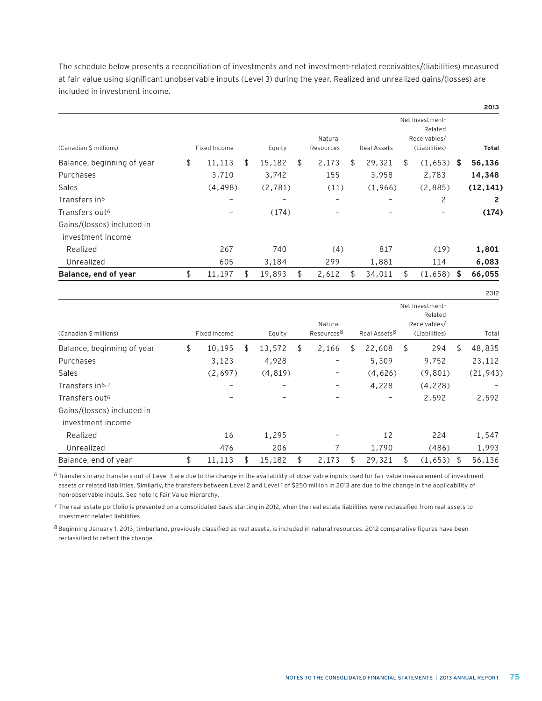The schedule below presents a reconciliation of investments and net investment-related receivables/(liabilities) measured at fair value using significant unobservable inputs (Level 3) during the year. Realized and unrealized gains/(losses) are included in investment income.

|                            |                          |              |                      |              |                                                             |    | 2013      |
|----------------------------|--------------------------|--------------|----------------------|--------------|-------------------------------------------------------------|----|-----------|
| (Canadian \$ millions)     | Fixed Income             | Equity       | Natural<br>Resources | Real Assets  | Net Investment-<br>Related<br>Receivables/<br>(Liabilities) |    | Total     |
| Balance, beginning of year | \$<br>11,113             | \$<br>15,182 | \$<br>2,173          | \$<br>29,321 | \$<br>(1,653)                                               | S  | 56,136    |
| Purchases                  | 3,710                    | 3,742        | 155                  | 3,958        | 2,783                                                       |    | 14,348    |
| Sales                      | (4, 498)                 | (2,781)      | (11)                 | (1,966)      | (2,885)                                                     |    | (12, 141) |
| Transfers in <sup>6</sup>  | $\overline{\phantom{0}}$ | -            | -                    |              | 2                                                           |    | 2         |
| Transfers out <sup>6</sup> |                          | (174)        |                      |              |                                                             |    | (174)     |
| Gains/(losses) included in |                          |              |                      |              |                                                             |    |           |
| investment income          |                          |              |                      |              |                                                             |    |           |
| Realized                   | 267                      | 740          | (4)                  | 817          | (19)                                                        |    | 1,801     |
| Unrealized                 | 605                      | 3,184        | 299                  | 1,881        | 114                                                         |    | 6,083     |
| Balance, end of year       | \$<br>11,197             | \$<br>19,893 | \$<br>2,612          | \$<br>34,011 | \$<br>(1,658)                                               | \$ | 66,055    |

|                             |                 |              |                                   |                          |                                                             | 2012         |
|-----------------------------|-----------------|--------------|-----------------------------------|--------------------------|-------------------------------------------------------------|--------------|
| (Canadian \$ millions)      | Fixed Income    | Equity       | Natural<br>Resources <sup>8</sup> | Real Assets <sup>8</sup> | Net Investment-<br>Related<br>Receivables/<br>(Liabilities) | Total        |
| Balance, beginning of year  | \$<br>10,195    | \$<br>13,572 | \$<br>2,166                       | \$<br>22,608             | \$<br>294                                                   | \$<br>48,835 |
| Purchases                   | 3,123           | 4,928        |                                   | 5,309                    | 9,752                                                       | 23,112       |
| Sales                       | (2,697)         | (4, 819)     |                                   | (4,626)                  | (9,801)                                                     | (21, 943)    |
| Transfers in <sup>6,7</sup> | $\qquad \qquad$ |              | -                                 | 4,228                    | (4, 228)                                                    |              |
| Transfers out <sup>6</sup>  |                 |              |                                   |                          | 2,592                                                       | 2,592        |
| Gains/(losses) included in  |                 |              |                                   |                          |                                                             |              |
| investment income           |                 |              |                                   |                          |                                                             |              |
| Realized                    | 16              | 1,295        |                                   | 12                       | 224                                                         | 1,547        |
| Unrealized                  | 476             | 206          |                                   | 1,790                    | (486)                                                       | 1,993        |
| Balance, end of year        | \$<br>11,113    | \$<br>15,182 | \$<br>2,173                       | \$<br>29,321             | \$<br>(1,653)                                               | \$<br>56,136 |

6 Transfers in and transfers out of Level 3 are due to the change in the availability of observable inputs used for fair value measurement of investment assets or related liabilities. Similarly, the transfers between Level 2 and Level 1 of \$250 million in 2013 are due to the change in the applicability of non-observable inputs. See note 1c Fair Value Hierarchy.

7 The real estate portfolio is presented on a consolidated basis starting in 2012, when the real estate liabilities were reclassified from real assets to investment-related liabilities.

8 Beginning January 1, 2013, timberland, previously classified as real assets, is included in natural resources. 2012 comparative figures have been reclassified to reflect the change.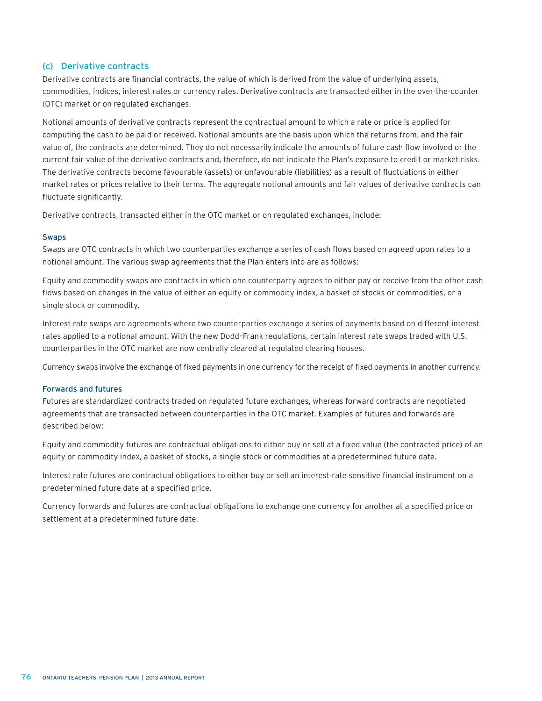### (c) Derivative contracts

Derivative contracts are financial contracts, the value of which is derived from the value of underlying assets, commodities, indices, interest rates or currency rates. Derivative contracts are transacted either in the over-the-counter (OTC) market or on regulated exchanges.

Notional amounts of derivative contracts represent the contractual amount to which a rate or price is applied for computing the cash to be paid or received. Notional amounts are the basis upon which the returns from, and the fair value of, the contracts are determined. They do not necessarily indicate the amounts of future cash flow involved or the current fair value of the derivative contracts and, therefore, do not indicate the Plan's exposure to credit or market risks. The derivative contracts become favourable (assets) or unfavourable (liabilities) as a result of fluctuations in either market rates or prices relative to their terms. The aggregate notional amounts and fair values of derivative contracts can fluctuate significantly.

Derivative contracts, transacted either in the OTC market or on regulated exchanges, include:

#### **Swaps**

Swaps are OTC contracts in which two counterparties exchange a series of cash flows based on agreed upon rates to a notional amount. The various swap agreements that the Plan enters into are as follows:

Equity and commodity swaps are contracts in which one counterparty agrees to either pay or receive from the other cash flows based on changes in the value of either an equity or commodity index, a basket of stocks or commodities, or a single stock or commodity.

Interest rate swaps are agreements where two counterparties exchange a series of payments based on different interest rates applied to a notional amount. With the new Dodd–Frank regulations, certain interest rate swaps traded with U.S. counterparties in the OTC market are now centrally cleared at regulated clearing houses.

Currency swaps involve the exchange of fixed payments in one currency for the receipt of fixed payments in another currency.

### Forwards and futures

Futures are standardized contracts traded on regulated future exchanges, whereas forward contracts are negotiated agreements that are transacted between counterparties in the OTC market. Examples of futures and forwards are described below:

Equity and commodity futures are contractual obligations to either buy or sell at a fixed value (the contracted price) of an equity or commodity index, a basket of stocks, a single stock or commodities at a predetermined future date.

Interest rate futures are contractual obligations to either buy or sell an interest-rate sensitive financial instrument on a predetermined future date at a specified price.

Currency forwards and futures are contractual obligations to exchange one currency for another at a specified price or settlement at a predetermined future date.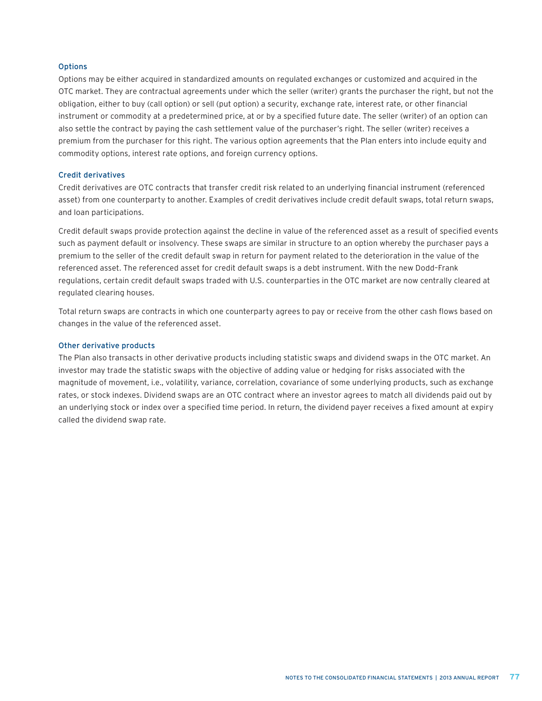### **Options**

Options may be either acquired in standardized amounts on regulated exchanges or customized and acquired in the OTC market. They are contractual agreements under which the seller (writer) grants the purchaser the right, but not the obligation, either to buy (call option) or sell (put option) a security, exchange rate, interest rate, or other financial instrument or commodity at a predetermined price, at or by a specified future date. The seller (writer) of an option can also settle the contract by paying the cash settlement value of the purchaser's right. The seller (writer) receives a premium from the purchaser for this right. The various option agreements that the Plan enters into include equity and commodity options, interest rate options, and foreign currency options.

#### Credit derivatives

Credit derivatives are OTC contracts that transfer credit risk related to an underlying financial instrument (referenced asset) from one counterparty to another. Examples of credit derivatives include credit default swaps, total return swaps, and loan participations.

Credit default swaps provide protection against the decline in value of the referenced asset as a result of specified events such as payment default or insolvency. These swaps are similar in structure to an option whereby the purchaser pays a premium to the seller of the credit default swap in return for payment related to the deterioration in the value of the referenced asset. The referenced asset for credit default swaps is a debt instrument. With the new Dodd–Frank regulations, certain credit default swaps traded with U.S. counterparties in the OTC market are now centrally cleared at regulated clearing houses.

Total return swaps are contracts in which one counterparty agrees to pay or receive from the other cash flows based on changes in the value of the referenced asset.

#### Other derivative products

The Plan also transacts in other derivative products including statistic swaps and dividend swaps in the OTC market. An investor may trade the statistic swaps with the objective of adding value or hedging for risks associated with the magnitude of movement, i.e., volatility, variance, correlation, covariance of some underlying products, such as exchange rates, or stock indexes. Dividend swaps are an OTC contract where an investor agrees to match all dividends paid out by an underlying stock or index over a specified time period. In return, the dividend payer receives a fixed amount at expiry called the dividend swap rate.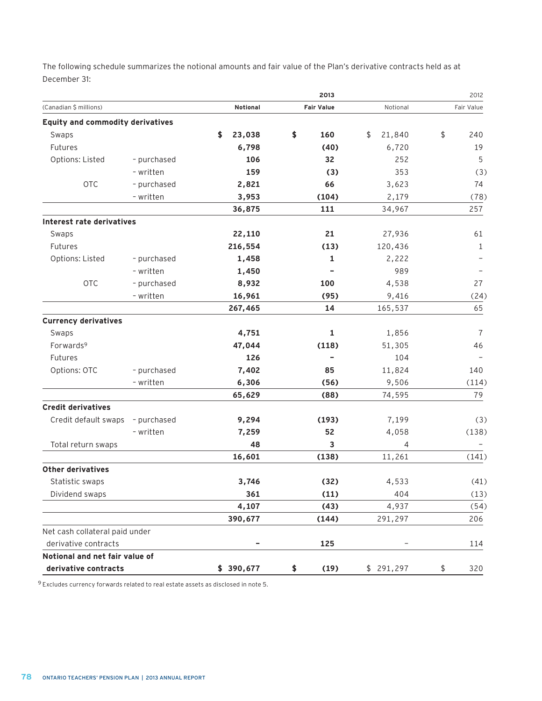The following schedule summarizes the notional amounts and fair value of the Plan's derivative contracts held as at December 31:

|                                  | - written   | 1,450     |            | 989       |                |
|----------------------------------|-------------|-----------|------------|-----------|----------------|
| OTC                              | - purchased | 8,932     | 100        | 4,538     | 27             |
|                                  | - written   | 16,961    | (95)       | 9,416     | (24)           |
|                                  |             | 267,465   | 14         | 165,537   | 65             |
| <b>Currency derivatives</b>      |             |           |            |           |                |
| Swaps                            |             | 4,751     | 1          | 1,856     | $\overline{7}$ |
| Forwards <sup>9</sup>            |             | 47,044    | (118)      | 51,305    | 46             |
| Futures                          |             | 126       |            | 104       |                |
| Options: OTC                     | - purchased | 7,402     | 85         | 11,824    | 140            |
|                                  | - written   | 6,306     | (56)       | 9,506     | (114)          |
|                                  |             | 65,629    | (88)       | 74,595    | 79             |
| <b>Credit derivatives</b>        |             |           |            |           |                |
| Credit default swaps - purchased |             | 9,294     | (193)      | 7,199     | (3)            |
|                                  | - written   | 7,259     | 52         | 4,058     | (138)          |
| Total return swaps               |             | 48        | 3          | 4         |                |
|                                  |             | 16,601    | (138)      | 11,261    | (141)          |
| <b>Other derivatives</b>         |             |           |            |           |                |
| Statistic swaps                  |             | 3,746     | (32)       | 4,533     | (41)           |
| Dividend swaps                   |             | 361       | (11)       | 404       | (13)           |
|                                  |             | 4,107     | (43)       | 4,937     | (54)           |
|                                  |             | 390,677   | (144)      | 291,297   | 206            |
| Net cash collateral paid under   |             |           |            |           |                |
| derivative contracts             |             |           | 125        |           | 114            |
| Notional and net fair value of   |             |           |            |           |                |
| derivative contracts             |             | \$390,677 | \$<br>(19) | \$291,297 | \$<br>320      |

9 Excludes currency forwards related to real estate assets as disclosed in note 5.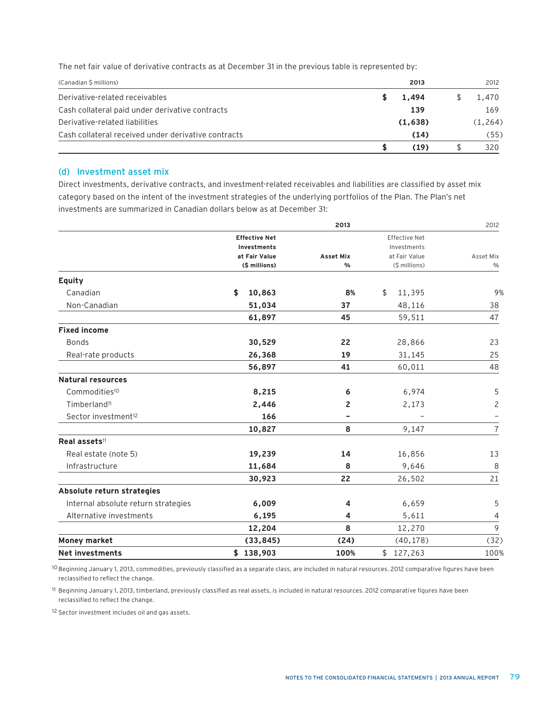The net fair value of derivative contracts as at December 31 in the previous table is represented by:

| (Canadian \$ millions)                              |         | 2013 | 2012     |
|-----------------------------------------------------|---------|------|----------|
| Derivative-related receivables                      | 1.494   |      | 1,470    |
| Cash collateral paid under derivative contracts     |         | 139  | 169      |
| Derivative-related liabilities                      | (1,638) |      | (1, 264) |
| Cash collateral received under derivative contracts |         | (14) | (55)     |
|                                                     |         | (19) | 320      |

### (d) Investment asset mix

Direct investments, derivative contracts, and investment-related receivables and liabilities are classified by asset mix category based on the intent of the investment strategies of the underlying portfolios of the Plan. The Plan's net investments are summarized in Canadian dollars below as at December 31:

|                                     |                      | 2013             |                      | 2012           |
|-------------------------------------|----------------------|------------------|----------------------|----------------|
|                                     | <b>Effective Net</b> |                  | <b>Effective Net</b> |                |
|                                     | Investments          |                  | Investments          |                |
|                                     | at Fair Value        | <b>Asset Mix</b> | at Fair Value        | Asset Mix      |
|                                     | (\$ millions)        | %                | (\$ millions)        | $\%$           |
| <b>Equity</b>                       |                      |                  |                      |                |
| Canadian                            | 10,863<br>\$         | 8%               | \$<br>11,395         | 9%             |
| Non-Canadian                        | 51,034               | 37               | 48,116               | 38             |
|                                     | 61,897               | 45               | 59,511               | 47             |
| <b>Fixed income</b>                 |                      |                  |                      |                |
| <b>Bonds</b>                        | 30,529               | 22               | 28,866               | 23             |
| Real-rate products                  | 26,368               | 19               | 31,145               | 25             |
|                                     | 56,897               | 41               | 60,011               | 48             |
| <b>Natural resources</b>            |                      |                  |                      |                |
| Commodities <sup>10</sup>           | 8,215                | 6                | 6,974                | 5              |
| Timberland <sup>11</sup>            | 2,446                | 2                | 2,173                | 2              |
| Sector investment <sup>12</sup>     | 166                  |                  |                      |                |
|                                     | 10,827               | 8                | 9,147                | $\overline{7}$ |
| Real assets <sup>11</sup>           |                      |                  |                      |                |
| Real estate (note 5)                | 19,239               | 14               | 16,856               | 13             |
| Infrastructure                      | 11,684               | 8                | 9,646                | 8              |
|                                     | 30,923               | 22               | 26,502               | 21             |
| Absolute return strategies          |                      |                  |                      |                |
| Internal absolute return strategies | 6,009                | 4                | 6,659                | 5              |
| Alternative investments             | 6,195                | 4                | 5,611                | 4              |
|                                     | 12,204               | 8                | 12,270               | 9              |
| <b>Money market</b>                 | (33, 845)            | (24)             | (40, 178)            | (32)           |
| <b>Net investments</b>              | \$138,903            | 100%             | \$<br>127,263        | 100%           |

<sup>10</sup> Beginning January 1, 2013, commodities, previously classified as a separate class, are included in natural resources. 2012 comparative figures have been reclassified to reflect the change.

<sup>11</sup> Beginning January 1, 2013, timberland, previously classified as real assets, is included in natural resources. 2012 comparative figures have been reclassified to reflect the change.

12 Sector investment includes oil and gas assets.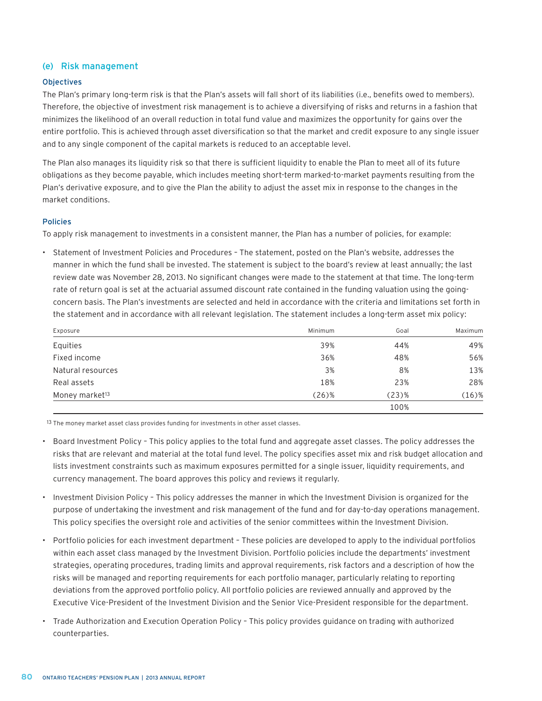## (e) Risk management

### **Objectives**

The Plan's primary long-term risk is that the Plan's assets will fall short of its liabilities (i.e., benefits owed to members). Therefore, the objective of investment risk management is to achieve a diversifying of risks and returns in a fashion that minimizes the likelihood of an overall reduction in total fund value and maximizes the opportunity for gains over the entire portfolio. This is achieved through asset diversification so that the market and credit exposure to any single issuer and to any single component of the capital markets is reduced to an acceptable level.

The Plan also manages its liquidity risk so that there is sufficient liquidity to enable the Plan to meet all of its future obligations as they become payable, which includes meeting short-term marked-to-market payments resulting from the Plan's derivative exposure, and to give the Plan the ability to adjust the asset mix in response to the changes in the market conditions.

### Policies

To apply risk management to investments in a consistent manner, the Plan has a number of policies, for example:

• Statement of Investment Policies and Procedures – The statement, posted on the Plan's website, addresses the manner in which the fund shall be invested. The statement is subject to the board's review at least annually; the last review date was November 28, 2013. No significant changes were made to the statement at that time. The long-term rate of return goal is set at the actuarial assumed discount rate contained in the funding valuation using the goingconcern basis. The Plan's investments are selected and held in accordance with the criteria and limitations set forth in the statement and in accordance with all relevant legislation. The statement includes a long-term asset mix policy:

| Exposure                   | Minimum | Goal  | Maximum |
|----------------------------|---------|-------|---------|
| Equities                   | 39%     | 44%   | 49%     |
| Fixed income               | 36%     | 48%   | 56%     |
| Natural resources          | 3%      | 8%    | 13%     |
| Real assets                | 18%     | 23%   | 28%     |
| Money market <sup>13</sup> | (26)%   | (23)% | (16)%   |
|                            |         | 100%  |         |

<sup>13</sup> The money market asset class provides funding for investments in other asset classes.

- Board Investment Policy This policy applies to the total fund and aggregate asset classes. The policy addresses the risks that are relevant and material at the total fund level. The policy specifies asset mix and risk budget allocation and lists investment constraints such as maximum exposures permitted for a single issuer, liquidity requirements, and currency management. The board approves this policy and reviews it regularly.
- Investment Division Policy This policy addresses the manner in which the Investment Division is organized for the purpose of undertaking the investment and risk management of the fund and for day-to-day operations management. This policy specifies the oversight role and activities of the senior committees within the Investment Division.
- Portfolio policies for each investment department These policies are developed to apply to the individual portfolios within each asset class managed by the Investment Division. Portfolio policies include the departments' investment strategies, operating procedures, trading limits and approval requirements, risk factors and a description of how the risks will be managed and reporting requirements for each portfolio manager, particularly relating to reporting deviations from the approved portfolio policy. All portfolio policies are reviewed annually and approved by the Executive Vice-President of the Investment Division and the Senior Vice-President responsible for the department.
- Trade Authorization and Execution Operation Policy This policy provides guidance on trading with authorized counterparties.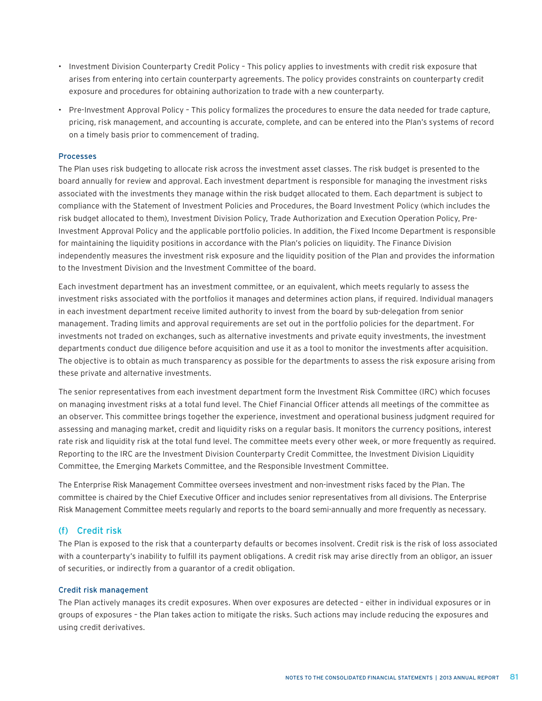- Investment Division Counterparty Credit Policy This policy applies to investments with credit risk exposure that arises from entering into certain counterparty agreements. The policy provides constraints on counterparty credit exposure and procedures for obtaining authorization to trade with a new counterparty.
- Pre-Investment Approval Policy This policy formalizes the procedures to ensure the data needed for trade capture, pricing, risk management, and accounting is accurate, complete, and can be entered into the Plan's systems of record on a timely basis prior to commencement of trading.

### Processes

The Plan uses risk budgeting to allocate risk across the investment asset classes. The risk budget is presented to the board annually for review and approval. Each investment department is responsible for managing the investment risks associated with the investments they manage within the risk budget allocated to them. Each department is subject to compliance with the Statement of Investment Policies and Procedures, the Board Investment Policy (which includes the risk budget allocated to them), Investment Division Policy, Trade Authorization and Execution Operation Policy, Pre-Investment Approval Policy and the applicable portfolio policies. In addition, the Fixed Income Department is responsible for maintaining the liquidity positions in accordance with the Plan's policies on liquidity. The Finance Division independently measures the investment risk exposure and the liquidity position of the Plan and provides the information to the Investment Division and the Investment Committee of the board.

Each investment department has an investment committee, or an equivalent, which meets regularly to assess the investment risks associated with the portfolios it manages and determines action plans, if required. Individual managers in each investment department receive limited authority to invest from the board by sub-delegation from senior management. Trading limits and approval requirements are set out in the portfolio policies for the department. For investments not traded on exchanges, such as alternative investments and private equity investments, the investment departments conduct due diligence before acquisition and use it as a tool to monitor the investments after acquisition. The objective is to obtain as much transparency as possible for the departments to assess the risk exposure arising from these private and alternative investments.

The senior representatives from each investment department form the Investment Risk Committee (IRC) which focuses on managing investment risks at a total fund level. The Chief Financial Officer attends all meetings of the committee as an observer. This committee brings together the experience, investment and operational business judgment required for assessing and managing market, credit and liquidity risks on a regular basis. It monitors the currency positions, interest rate risk and liquidity risk at the total fund level. The committee meets every other week, or more frequently as required. Reporting to the IRC are the Investment Division Counterparty Credit Committee, the Investment Division Liquidity Committee, the Emerging Markets Committee, and the Responsible Investment Committee.

The Enterprise Risk Management Committee oversees investment and non-investment risks faced by the Plan. The committee is chaired by the Chief Executive Officer and includes senior representatives from all divisions. The Enterprise Risk Management Committee meets regularly and reports to the board semi-annually and more frequently as necessary.

### (f) Credit risk

The Plan is exposed to the risk that a counterparty defaults or becomes insolvent. Credit risk is the risk of loss associated with a counterparty's inability to fulfill its payment obligations. A credit risk may arise directly from an obligor, an issuer of securities, or indirectly from a guarantor of a credit obligation.

### Credit risk management

The Plan actively manages its credit exposures. When over exposures are detected – either in individual exposures or in groups of exposures – the Plan takes action to mitigate the risks. Such actions may include reducing the exposures and using credit derivatives.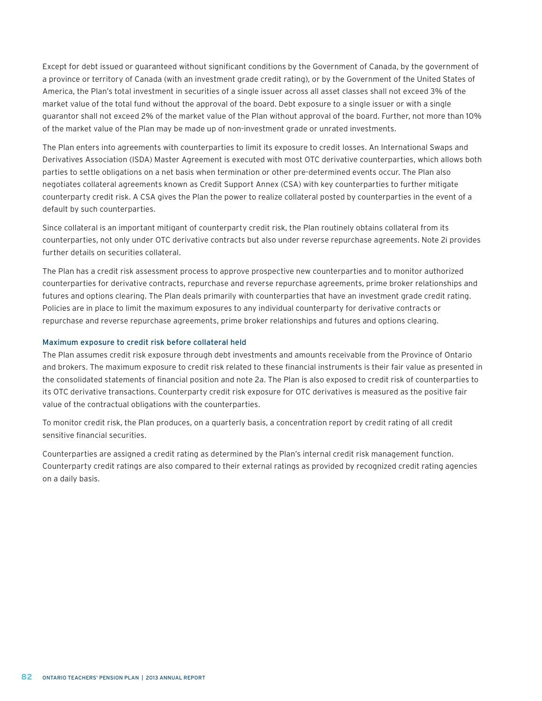Except for debt issued or guaranteed without significant conditions by the Government of Canada, by the government of a province or territory of Canada (with an investment grade credit rating), or by the Government of the United States of America, the Plan's total investment in securities of a single issuer across all asset classes shall not exceed 3% of the market value of the total fund without the approval of the board. Debt exposure to a single issuer or with a single guarantor shall not exceed 2% of the market value of the Plan without approval of the board. Further, not more than 10% of the market value of the Plan may be made up of non-investment grade or unrated investments.

The Plan enters into agreements with counterparties to limit its exposure to credit losses. An International Swaps and Derivatives Association (ISDA) Master Agreement is executed with most OTC derivative counterparties, which allows both parties to settle obligations on a net basis when termination or other pre-determined events occur. The Plan also negotiates collateral agreements known as Credit Support Annex (CSA) with key counterparties to further mitigate counterparty credit risk. A CSA gives the Plan the power to realize collateral posted by counterparties in the event of a default by such counterparties.

Since collateral is an important mitigant of counterparty credit risk, the Plan routinely obtains collateral from its counterparties, not only under OTC derivative contracts but also under reverse repurchase agreements. Note 2i provides further details on securities collateral.

The Plan has a credit risk assessment process to approve prospective new counterparties and to monitor authorized counterparties for derivative contracts, repurchase and reverse repurchase agreements, prime broker relationships and futures and options clearing. The Plan deals primarily with counterparties that have an investment grade credit rating. Policies are in place to limit the maximum exposures to any individual counterparty for derivative contracts or repurchase and reverse repurchase agreements, prime broker relationships and futures and options clearing.

#### Maximum exposure to credit risk before collateral held

The Plan assumes credit risk exposure through debt investments and amounts receivable from the Province of Ontario and brokers. The maximum exposure to credit risk related to these financial instruments is their fair value as presented in the consolidated statements of financial position and note 2a. The Plan is also exposed to credit risk of counterparties to its OTC derivative transactions. Counterparty credit risk exposure for OTC derivatives is measured as the positive fair value of the contractual obligations with the counterparties.

To monitor credit risk, the Plan produces, on a quarterly basis, a concentration report by credit rating of all credit sensitive financial securities.

Counterparties are assigned a credit rating as determined by the Plan's internal credit risk management function. Counterparty credit ratings are also compared to their external ratings as provided by recognized credit rating agencies on a daily basis.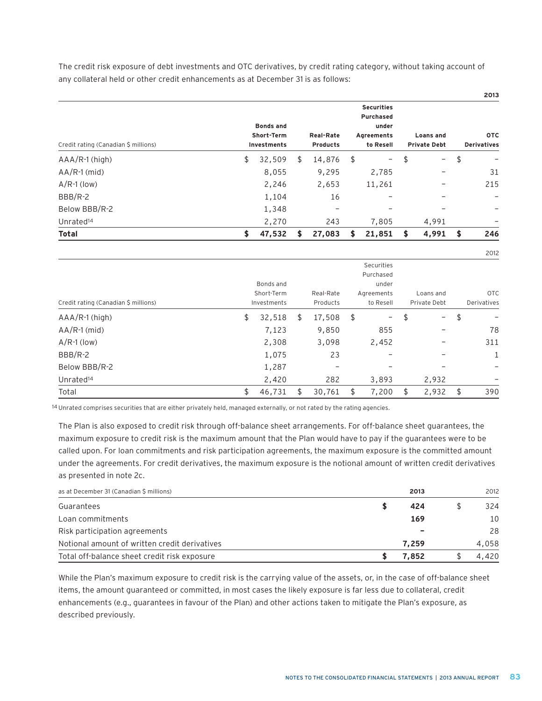The credit risk exposure of debt investments and OTC derivatives, by credit rating category, without taking account of any collateral held or other credit enhancements as at December 31 is as follows:

|                                      |                                               |                                     |                                                                           |                                         | 2013                             |
|--------------------------------------|-----------------------------------------------|-------------------------------------|---------------------------------------------------------------------------|-----------------------------------------|----------------------------------|
| Credit rating (Canadian \$ millions) | <b>Bonds and</b><br>Short-Term<br>Investments | <b>Real-Rate</b><br><b>Products</b> | <b>Securities</b><br><b>Purchased</b><br>under<br>Agreements<br>to Resell | <b>Loans</b> and<br><b>Private Debt</b> | <b>OTC</b><br><b>Derivatives</b> |
| $AA/R-1$ (high)                      | \$<br>32,509                                  | \$<br>14,876                        | \$<br>$-$                                                                 | \$<br>$\qquad \qquad -$                 | \$<br>$\qquad \qquad -$          |
| $AA/R-1$ (mid)                       | 8,055                                         | 9,295                               | 2,785                                                                     |                                         | 31                               |
| $A/R-1$ (low)                        | 2,246                                         | 2,653                               | 11,261                                                                    |                                         | 215                              |
| BBB/R-2                              | 1,104                                         | 16                                  |                                                                           |                                         |                                  |
| Below BBB/R-2                        | 1,348                                         | $\overline{\phantom{a}}$            |                                                                           |                                         |                                  |
| Unrated <sup>14</sup>                | 2,270                                         | 243                                 | 7,805                                                                     | 4,991                                   |                                  |
| <b>Total</b>                         | \$<br>47,532                                  | 27,083                              | 21,851                                                                    | 4,991                                   | \$<br>246                        |

|                                      |                                        |    |                       |                                                             |    |                           | 2012                      |
|--------------------------------------|----------------------------------------|----|-----------------------|-------------------------------------------------------------|----|---------------------------|---------------------------|
| Credit rating (Canadian \$ millions) | Bonds and<br>Short-Term<br>Investments |    | Real-Rate<br>Products | Securities<br>Purchased<br>under<br>Agreements<br>to Resell |    | Loans and<br>Private Debt | <b>OTC</b><br>Derivatives |
| $AA/R-1$ (high)                      | \$<br>32,518                           | \$ | 17,508                | \$<br>$\overline{\phantom{0}}$                              | \$ | $\overline{\phantom{0}}$  | \$                        |
| $AA/R-1$ (mid)                       | 7,123                                  |    | 9,850                 | 855                                                         |    |                           | 78                        |
| $A/R-1$ (low)                        | 2,308                                  |    | 3,098                 | 2,452                                                       |    | -                         | 311                       |
| BBB/R-2                              | 1,075                                  |    | 23                    |                                                             |    |                           |                           |
| Below BBB/R-2                        | 1,287                                  |    |                       |                                                             |    |                           |                           |
| Unrated <sup>14</sup>                | 2,420                                  |    | 282                   | 3,893                                                       |    | 2,932                     |                           |
| Total                                | \$<br>46,731                           | S  | 30,761                | \$<br>7,200                                                 | S  | 2,932                     | \$<br>390                 |

<sup>14</sup> Unrated comprises securities that are either privately held, managed externally, or not rated by the rating agencies.

The Plan is also exposed to credit risk through off-balance sheet arrangements. For off-balance sheet guarantees, the maximum exposure to credit risk is the maximum amount that the Plan would have to pay if the guarantees were to be called upon. For loan commitments and risk participation agreements, the maximum exposure is the committed amount under the agreements. For credit derivatives, the maximum exposure is the notional amount of written credit derivatives as presented in note 2c.

| as at December 31 (Canadian \$ millions)      | 2013   | 2012  |
|-----------------------------------------------|--------|-------|
| Guarantees                                    | 424    | 324   |
| Loan commitments                              | 169    | 10    |
| Risk participation agreements                 | $\sim$ | 28    |
| Notional amount of written credit derivatives | 7,259  | 4,058 |
| Total off-balance sheet credit risk exposure  | 7,852  | 4,420 |

While the Plan's maximum exposure to credit risk is the carrying value of the assets, or, in the case of off-balance sheet items, the amount guaranteed or committed, in most cases the likely exposure is far less due to collateral, credit enhancements (e.g., guarantees in favour of the Plan) and other actions taken to mitigate the Plan's exposure, as described previously.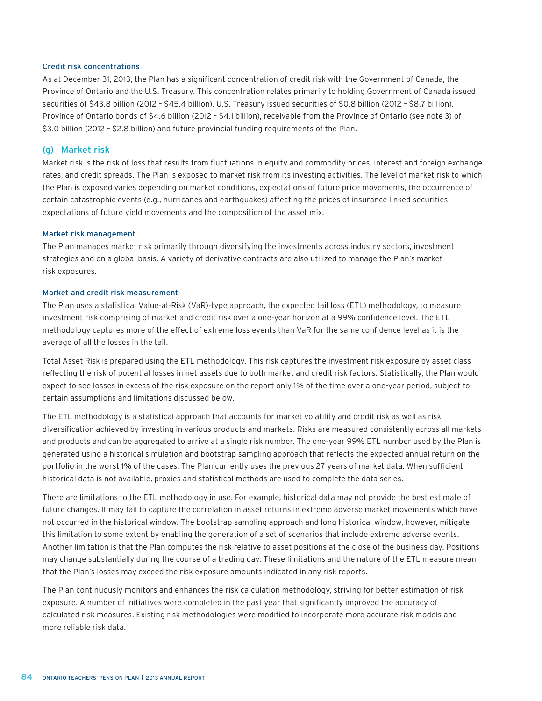#### Credit risk concentrations

As at December 31, 2013, the Plan has a significant concentration of credit risk with the Government of Canada, the Province of Ontario and the U.S. Treasury. This concentration relates primarily to holding Government of Canada issued securities of \$43.8 billion (2012 – \$45.4 billion), U.S. Treasury issued securities of \$0.8 billion (2012 – \$8.7 billion), Province of Ontario bonds of \$4.6 billion (2012 – \$4.1 billion), receivable from the Province of Ontario (see note 3) of \$3.0 billion (2012 – \$2.8 billion) and future provincial funding requirements of the Plan.

### (g) Market risk

Market risk is the risk of loss that results from fluctuations in equity and commodity prices, interest and foreign exchange rates, and credit spreads. The Plan is exposed to market risk from its investing activities. The level of market risk to which the Plan is exposed varies depending on market conditions, expectations of future price movements, the occurrence of certain catastrophic events (e.g., hurricanes and earthquakes) affecting the prices of insurance linked securities, expectations of future yield movements and the composition of the asset mix.

#### Market risk management

The Plan manages market risk primarily through diversifying the investments across industry sectors, investment strategies and on a global basis. A variety of derivative contracts are also utilized to manage the Plan's market risk exposures.

#### Market and credit risk measurement

The Plan uses a statistical Value-at-Risk (VaR)-type approach, the expected tail loss (ETL) methodology, to measure investment risk comprising of market and credit risk over a one-year horizon at a 99% confidence level. The ETL methodology captures more of the effect of extreme loss events than VaR for the same confidence level as it is the average of all the losses in the tail.

Total Asset Risk is prepared using the ETL methodology. This risk captures the investment risk exposure by asset class reflecting the risk of potential losses in net assets due to both market and credit risk factors. Statistically, the Plan would expect to see losses in excess of the risk exposure on the report only 1% of the time over a one-year period, subject to certain assumptions and limitations discussed below.

The ETL methodology is a statistical approach that accounts for market volatility and credit risk as well as risk diversification achieved by investing in various products and markets. Risks are measured consistently across all markets and products and can be aggregated to arrive at a single risk number. The one-year 99% ETL number used by the Plan is generated using a historical simulation and bootstrap sampling approach that reflects the expected annual return on the portfolio in the worst 1% of the cases. The Plan currently uses the previous 27 years of market data. When sufficient historical data is not available, proxies and statistical methods are used to complete the data series.

There are limitations to the ETL methodology in use. For example, historical data may not provide the best estimate of future changes. It may fail to capture the correlation in asset returns in extreme adverse market movements which have not occurred in the historical window. The bootstrap sampling approach and long historical window, however, mitigate this limitation to some extent by enabling the generation of a set of scenarios that include extreme adverse events. Another limitation is that the Plan computes the risk relative to asset positions at the close of the business day. Positions may change substantially during the course of a trading day. These limitations and the nature of the ETL measure mean that the Plan's losses may exceed the risk exposure amounts indicated in any risk reports.

The Plan continuously monitors and enhances the risk calculation methodology, striving for better estimation of risk exposure. A number of initiatives were completed in the past year that significantly improved the accuracy of calculated risk measures. Existing risk methodologies were modified to incorporate more accurate risk models and more reliable risk data.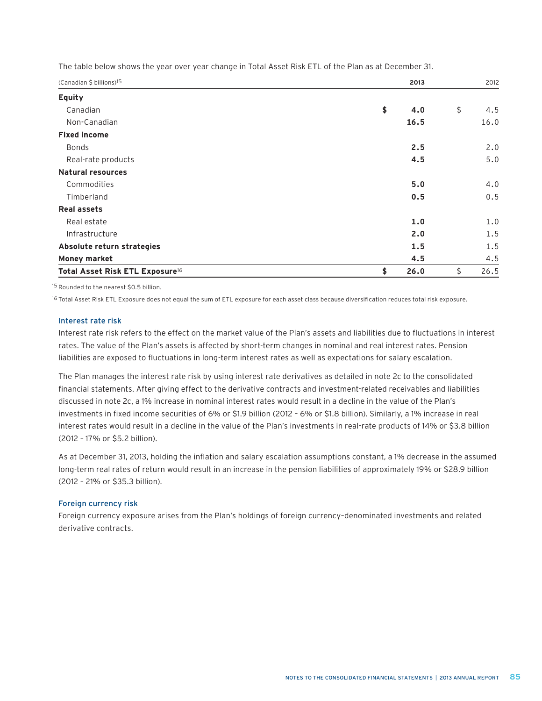The table below shows the year over year change in Total Asset Risk ETL of the Plan as at December 31.

| (Canadian \$ billions) <sup>15</sup>        | 2013       | 2012       |
|---------------------------------------------|------------|------------|
| <b>Equity</b>                               |            |            |
| Canadian                                    | \$<br>4.0  | \$<br>4.5  |
| Non-Canadian                                | 16.5       | 16.0       |
| <b>Fixed income</b>                         |            |            |
| <b>Bonds</b>                                | 2.5        | 2.0        |
| Real-rate products                          | 4.5        | 5.0        |
| <b>Natural resources</b>                    |            |            |
| Commodities                                 | 5.0        | 4.0        |
| Timberland                                  | 0.5        | 0.5        |
| <b>Real assets</b>                          |            |            |
| Real estate                                 | 1.0        | 1.0        |
| Infrastructure                              | 2.0        | 1.5        |
| Absolute return strategies                  | 1.5        | 1.5        |
| <b>Money market</b>                         | 4.5        | 4.5        |
| Total Asset Risk ETL Exposure <sup>16</sup> | \$<br>26.0 | \$<br>26.5 |

15 Rounded to the nearest \$0.5 billion.

<sup>16</sup> Total Asset Risk ETL Exposure does not equal the sum of ETL exposure for each asset class because diversification reduces total risk exposure.

### Interest rate risk

Interest rate risk refers to the effect on the market value of the Plan's assets and liabilities due to fluctuations in interest rates. The value of the Plan's assets is affected by short-term changes in nominal and real interest rates. Pension liabilities are exposed to fluctuations in long-term interest rates as well as expectations for salary escalation.

The Plan manages the interest rate risk by using interest rate derivatives as detailed in note 2c to the consolidated financial statements. After giving effect to the derivative contracts and investment-related receivables and liabilities discussed in note 2c, a 1% increase in nominal interest rates would result in a decline in the value of the Plan's investments in fixed income securities of 6% or \$1.9 billion (2012 - 6% or \$1.8 billion). Similarly, a 1% increase in real interest rates would result in a decline in the value of the Plan's investments in real-rate products of 14% or \$3.8 billion (2012 – 17% or \$5.2 billion).

As at December 31, 2013, holding the inflation and salary escalation assumptions constant, a 1% decrease in the assumed long-term real rates of return would result in an increase in the pension liabilities of approximately 19% or \$28.9 billion (2012 – 21% or \$35.3 billion).

### Foreign currency risk

Foreign currency exposure arises from the Plan's holdings of foreign currency–denominated investments and related derivative contracts.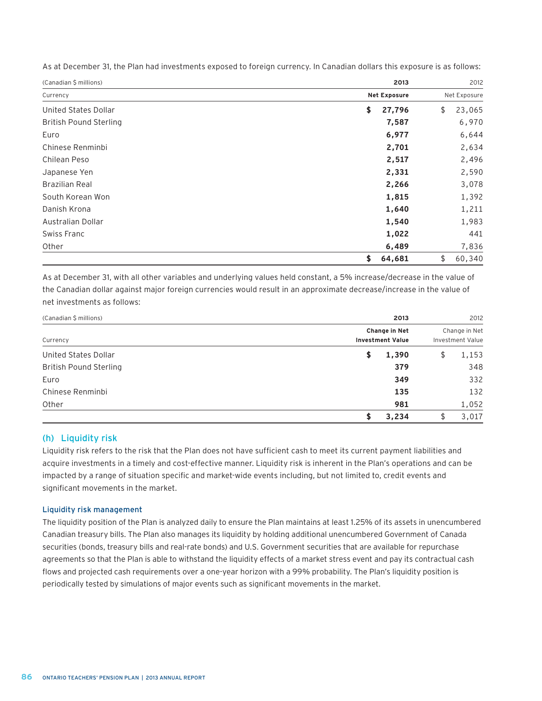| (Canadian \$ millions)        | 2013                |              | 2012   |  |
|-------------------------------|---------------------|--------------|--------|--|
| Currency                      | <b>Net Exposure</b> | Net Exposure |        |  |
| United States Dollar          | \$<br>27,796        | \$           | 23,065 |  |
| <b>British Pound Sterling</b> | 7,587               |              | 6,970  |  |
| Euro                          | 6,977               |              | 6,644  |  |
| Chinese Renminbi              | 2,701               |              | 2,634  |  |
| Chilean Peso                  | 2,517               |              | 2,496  |  |
| Japanese Yen                  | 2,331               |              | 2,590  |  |
| Brazilian Real                | 2,266               |              | 3,078  |  |
| South Korean Won              | 1,815               |              | 1,392  |  |
| Danish Krona                  | 1,640               |              | 1,211  |  |
| Australian Dollar             | 1,540               |              | 1,983  |  |
| Swiss Franc                   | 1,022               |              | 441    |  |
| Other                         | 6,489               |              | 7,836  |  |
|                               | \$<br>64,681        | \$           | 60,340 |  |

As at December 31, the Plan had investments exposed to foreign currency. In Canadian dollars this exposure is as follows:

As at December 31, with all other variables and underlying values held constant, a 5% increase/decrease in the value of the Canadian dollar against major foreign currencies would result in an approximate decrease/increase in the value of net investments as follows:

| (Canadian \$ millions) | 2013                                            |                                          | 2012  |  |
|------------------------|-------------------------------------------------|------------------------------------------|-------|--|
| Currency               | <b>Change in Net</b><br><b>Investment Value</b> | Change in Net<br><b>Investment Value</b> |       |  |
| United States Dollar   | 1,390                                           | \$                                       | 1,153 |  |
| British Pound Sterling | 379                                             |                                          | 348   |  |
| Euro                   | 349                                             |                                          | 332   |  |
| Chinese Renminbi       | 135                                             |                                          | 132   |  |
| Other                  | 981                                             |                                          | 1,052 |  |
|                        | 3,234                                           | \$                                       | 3,017 |  |

# (h) Liquidity risk

Liquidity risk refers to the risk that the Plan does not have sufficient cash to meet its current payment liabilities and acquire investments in a timely and cost-effective manner. Liquidity risk is inherent in the Plan's operations and can be impacted by a range of situation specific and market-wide events including, but not limited to, credit events and significant movements in the market.

### Liquidity risk management

The liquidity position of the Plan is analyzed daily to ensure the Plan maintains at least 1.25% of its assets in unencumbered Canadian treasury bills. The Plan also manages its liquidity by holding additional unencumbered Government of Canada securities (bonds, treasury bills and real-rate bonds) and U.S. Government securities that are available for repurchase agreements so that the Plan is able to withstand the liquidity effects of a market stress event and pay its contractual cash flows and projected cash requirements over a one-year horizon with a 99% probability. The Plan's liquidity position is periodically tested by simulations of major events such as significant movements in the market.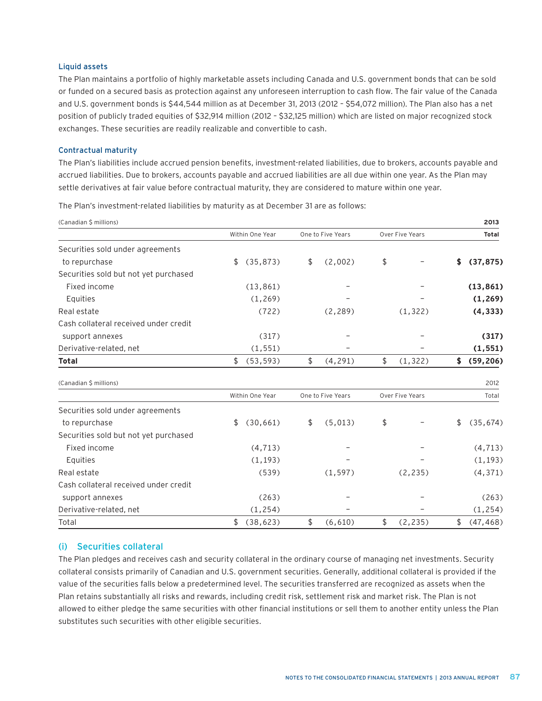### Liquid assets

The Plan maintains a portfolio of highly marketable assets including Canada and U.S. government bonds that can be sold or funded on a secured basis as protection against any unforeseen interruption to cash flow. The fair value of the Canada and U.S. government bonds is \$44,544 million as at December 31, 2013 (2012 – \$54,072 million). The Plan also has a net position of publicly traded equities of \$32,914 million (2012 – \$32,125 million) which are listed on major recognized stock exchanges. These securities are readily realizable and convertible to cash.

#### Contractual maturity

The Plan's liabilities include accrued pension benefits, investment-related liabilities, due to brokers, accounts payable and accrued liabilities. Due to brokers, accounts payable and accrued liabilities are all due within one year. As the Plan may settle derivatives at fair value before contractual maturity, they are considered to mature within one year.

| (Canadian \$ millions)                |                 |                   |                 |                |  |  |
|---------------------------------------|-----------------|-------------------|-----------------|----------------|--|--|
|                                       | Within One Year | One to Five Years | Over Five Years | Total          |  |  |
| Securities sold under agreements      |                 |                   |                 |                |  |  |
| to repurchase                         | \$<br>(35, 873) | \$<br>(2,002)     | \$              | \$(37, 875)    |  |  |
| Securities sold but not yet purchased |                 |                   |                 |                |  |  |
| Fixed income                          | (13, 861)       |                   |                 | (13, 861)      |  |  |
| Equities                              | (1, 269)        |                   |                 | (1, 269)       |  |  |
| Real estate                           | (722)           | (2, 289)          | (1, 322)        | (4, 333)       |  |  |
| Cash collateral received under credit |                 |                   |                 |                |  |  |
| support annexes                       | (317)           |                   |                 | (317)          |  |  |
| Derivative-related, net               | (1, 551)        |                   |                 | (1, 551)       |  |  |
| <b>Total</b>                          | (53, 593)<br>\$ | \$<br>(4, 291)    | \$<br>(1, 322)  | (59, 206)<br>S |  |  |
|                                       |                 |                   |                 |                |  |  |
| (Canadian \$ millions)                |                 |                   |                 | 2012           |  |  |

The Plan's investment-related liabilities by maturity as at December 31 are as follows:

| (Canadian \$ millions)                |                  |                   |                 | 2012            |
|---------------------------------------|------------------|-------------------|-----------------|-----------------|
|                                       | Within One Year  | One to Five Years | Over Five Years | Total           |
| Securities sold under agreements      |                  |                   |                 |                 |
| to repurchase                         | (30, 661)<br>\$. | \$<br>(5,013)     | \$              | \$<br>(35, 674) |
| Securities sold but not yet purchased |                  |                   |                 |                 |
| Fixed income                          | (4, 713)         |                   |                 | (4, 713)        |
| Equities                              | (1, 193)         |                   |                 | (1, 193)        |
| Real estate                           | (539)            | (1, 597)          | (2, 235)        | (4, 371)        |
| Cash collateral received under credit |                  |                   |                 |                 |
| support annexes                       | (263)            |                   |                 | (263)           |
| Derivative-related, net               | (1, 254)         |                   |                 | (1, 254)        |
| Total                                 | (38, 623)<br>\$  | \$<br>(6, 610)    | \$<br>(2, 235)  | (47, 468)<br>\$ |

### (i) Securities collateral

The Plan pledges and receives cash and security collateral in the ordinary course of managing net investments. Security collateral consists primarily of Canadian and U.S. government securities. Generally, additional collateral is provided if the value of the securities falls below a predetermined level. The securities transferred are recognized as assets when the Plan retains substantially all risks and rewards, including credit risk, settlement risk and market risk. The Plan is not allowed to either pledge the same securities with other financial institutions or sell them to another entity unless the Plan substitutes such securities with other eligible securities.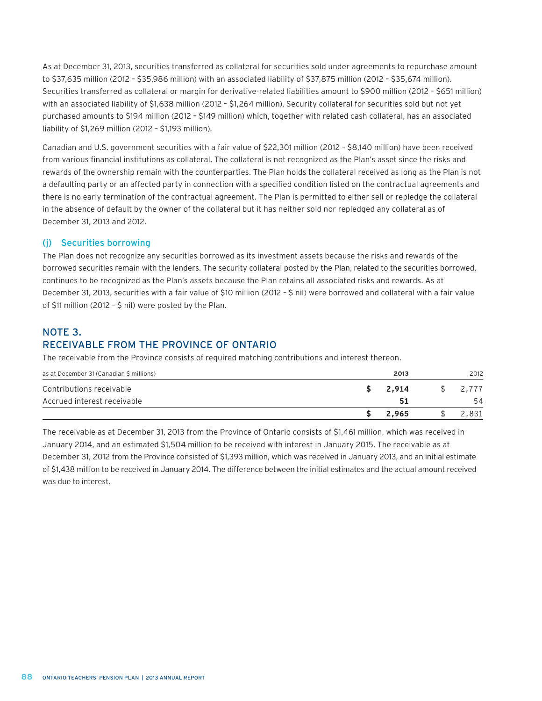As at December 31, 2013, securities transferred as collateral for securities sold under agreements to repurchase amount to \$37,635 million (2012 – \$35,986 million) with an associated liability of \$37,875 million (2012 – \$35,674 million). Securities transferred as collateral or margin for derivative-related liabilities amount to \$900 million (2012 – \$651 million) with an associated liability of \$1,638 million (2012 - \$1,264 million). Security collateral for securities sold but not yet purchased amounts to \$194 million (2012 – \$149 million) which, together with related cash collateral, has an associated liability of \$1,269 million (2012 – \$1,193 million).

Canadian and U.S. government securities with a fair value of \$22,301 million (2012 – \$8,140 million) have been received from various financial institutions as collateral. The collateral is not recognized as the Plan's asset since the risks and rewards of the ownership remain with the counterparties. The Plan holds the collateral received as long as the Plan is not a defaulting party or an affected party in connection with a specified condition listed on the contractual agreements and there is no early termination of the contractual agreement. The Plan is permitted to either sell or repledge the collateral in the absence of default by the owner of the collateral but it has neither sold nor repledged any collateral as of December 31, 2013 and 2012.

## (j) Securities borrowing

The Plan does not recognize any securities borrowed as its investment assets because the risks and rewards of the borrowed securities remain with the lenders. The security collateral posted by the Plan, related to the securities borrowed, continues to be recognized as the Plan's assets because the Plan retains all associated risks and rewards. As at December 31, 2013, securities with a fair value of \$10 million (2012 – \$ nil) were borrowed and collateral with a fair value of \$11 million (2012 - \$ nil) were posted by the Plan.

# NOTE 3. RECEIVABLE FROM THE PROVINCE OF ONTARIO

The receivable from the Province consists of required matching contributions and interest thereon.

| as at December 31 (Canadian \$ millions) | 2013  | 2012  |
|------------------------------------------|-------|-------|
| Contributions receivable                 | 2.914 | 2,777 |
| Accrued interest receivable              | 51    | 54    |
|                                          | 2.965 | 2,831 |

The receivable as at December 31, 2013 from the Province of Ontario consists of \$1,461 million, which was received in January 2014, and an estimated \$1,504 million to be received with interest in January 2015. The receivable as at December 31, 2012 from the Province consisted of \$1,393 million, which was received in January 2013, and an initial estimate of \$1,438 million to be received in January 2014. The difference between the initial estimates and the actual amount received was due to interest.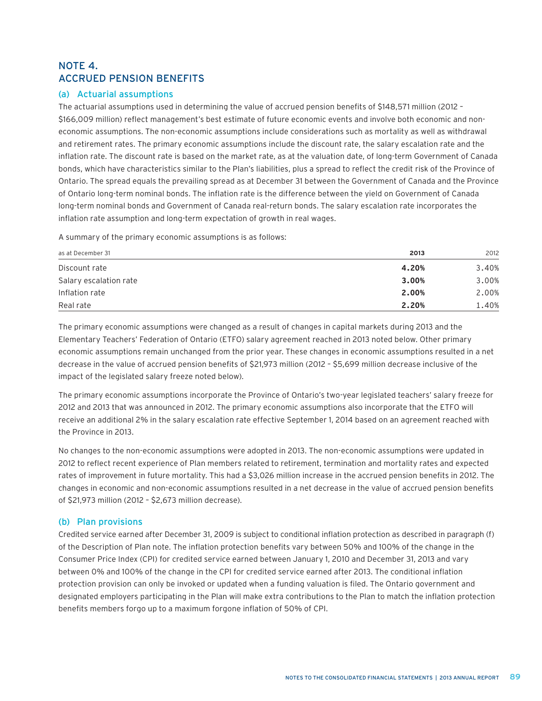# NOTE 4. ACCRUED PENSION BENEFITS

## (a) Actuarial assumptions

The actuarial assumptions used in determining the value of accrued pension benefits of \$148,571 million (2012 -\$166,009 million) reflect management's best estimate of future economic events and involve both economic and noneconomic assumptions. The non-economic assumptions include considerations such as mortality as well as withdrawal and retirement rates. The primary economic assumptions include the discount rate, the salary escalation rate and the inflation rate. The discount rate is based on the market rate, as at the valuation date, of long-term Government of Canada bonds, which have characteristics similar to the Plan's liabilities, plus a spread to reflect the credit risk of the Province of Ontario. The spread equals the prevailing spread as at December 31 between the Government of Canada and the Province of Ontario long-term nominal bonds. The inflation rate is the difference between the yield on Government of Canada long-term nominal bonds and Government of Canada real-return bonds. The salary escalation rate incorporates the inflation rate assumption and long-term expectation of growth in real wages.

A summary of the primary economic assumptions is as follows:

| as at December 31      | 2013  | 2012  |
|------------------------|-------|-------|
| Discount rate          | 4.20% | 3.40% |
| Salary escalation rate | 3.00% | 3.00% |
| Inflation rate         | 2.00% | 2.00% |
| Real rate              | 2.20% | 1.40% |

The primary economic assumptions were changed as a result of changes in capital markets during 2013 and the Elementary Teachers' Federation of Ontario (ETFO) salary agreement reached in 2013 noted below. Other primary economic assumptions remain unchanged from the prior year. These changes in economic assumptions resulted in a net decrease in the value of accrued pension benefits of \$21,973 million (2012 - \$5,699 million decrease inclusive of the impact of the legislated salary freeze noted below).

The primary economic assumptions incorporate the Province of Ontario's two-year legislated teachers' salary freeze for 2012 and 2013 that was announced in 2012. The primary economic assumptions also incorporate that the ETFO will receive an additional 2% in the salary escalation rate effective September 1, 2014 based on an agreement reached with the Province in 2013.

No changes to the non-economic assumptions were adopted in 2013. The non-economic assumptions were updated in 2012 to reflect recent experience of Plan members related to retirement, termination and mortality rates and expected rates of improvement in future mortality. This had a \$3,026 million increase in the accrued pension benefits in 2012. The changes in economic and non-economic assumptions resulted in a net decrease in the value of accrued pension benefits of \$21,973 million (2012 – \$2,673 million decrease).

# (b) Plan provisions

Credited service earned after December 31, 2009 is subject to conditional inflation protection as described in paragraph (f) of the Description of Plan note. The inflation protection benefits vary between 50% and 100% of the change in the Consumer Price Index (CPI) for credited service earned between January 1, 2010 and December 31, 2013 and vary between 0% and 100% of the change in the CPI for credited service earned after 2013. The conditional inflation protection provision can only be invoked or updated when a funding valuation is filed. The Ontario government and designated employers participating in the Plan will make extra contributions to the Plan to match the inflation protection benefits members forgo up to a maximum forgone inflation of 50% of CPI.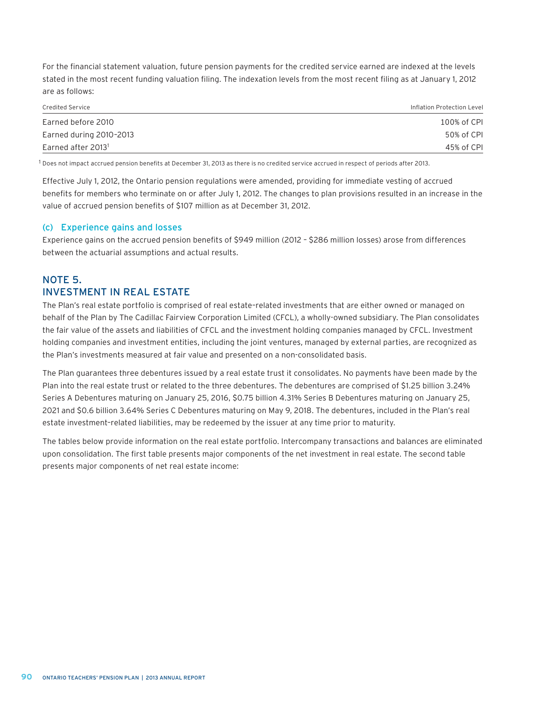For the financial statement valuation, future pension payments for the credited service earned are indexed at the levels stated in the most recent funding valuation filing. The indexation levels from the most recent filing as at January 1, 2012 are as follows:

| Credited Service               | Inflation Protection Level |
|--------------------------------|----------------------------|
| Earned before 2010             | 100% of CPI                |
| Earned during 2010-2013        | 50% of CPI                 |
| Earned after 2013 <sup>1</sup> | 45% of CPI                 |

 $1$  Does not impact accrued pension benefits at December 31, 2013 as there is no credited service accrued in respect of periods after 2013.

Effective July 1, 2012, the Ontario pension regulations were amended, providing for immediate vesting of accrued benefits for members who terminate on or after July 1, 2012. The changes to plan provisions resulted in an increase in the value of accrued pension benefits of \$107 million as at December 31, 2012.

### (c) Experience gains and losses

Experience gains on the accrued pension benefits of \$949 million (2012 - \$286 million losses) arose from differences between the actuarial assumptions and actual results.

# NOTE 5. INVESTMENT IN REAL ESTATE

The Plan's real estate portfolio is comprised of real estate–related investments that are either owned or managed on behalf of the Plan by The Cadillac Fairview Corporation Limited (CFCL), a wholly-owned subsidiary. The Plan consolidates the fair value of the assets and liabilities of CFCL and the investment holding companies managed by CFCL. Investment holding companies and investment entities, including the joint ventures, managed by external parties, are recognized as the Plan's investments measured at fair value and presented on a non-consolidated basis.

The Plan guarantees three debentures issued by a real estate trust it consolidates. No payments have been made by the Plan into the real estate trust or related to the three debentures. The debentures are comprised of \$1.25 billion 3.24% Series A Debentures maturing on January 25, 2016, \$0.75 billion 4.31% Series B Debentures maturing on January 25, 2021 and \$0.6 billion 3.64% Series C Debentures maturing on May 9, 2018. The debentures, included in the Plan's real estate investment–related liabilities, may be redeemed by the issuer at any time prior to maturity.

The tables below provide information on the real estate portfolio. Intercompany transactions and balances are eliminated upon consolidation. The first table presents major components of the net investment in real estate. The second table presents major components of net real estate income: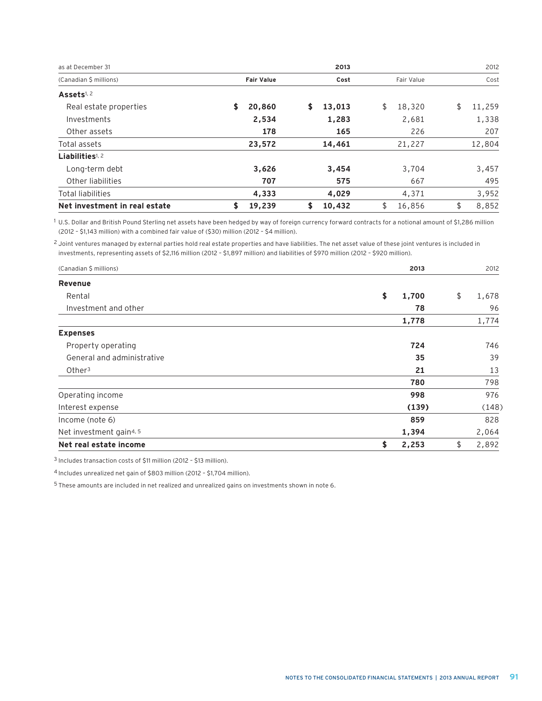| as at December 31             |                   | 2013         |              | 2012         |
|-------------------------------|-------------------|--------------|--------------|--------------|
| (Canadian \$ millions)        | <b>Fair Value</b> | Cost         | Fair Value   | Cost         |
| Assets <sup>1,2</sup>         |                   |              |              |              |
| Real estate properties        | \$<br>20,860      | \$<br>13,013 | \$<br>18,320 | \$<br>11,259 |
| Investments                   | 2,534             | 1,283        | 2,681        | 1,338        |
| Other assets                  | 178               | 165          | 226          | 207          |
| Total assets                  | 23,572            | 14,461       | 21,227       | 12,804       |
| Liabilities <sup>1, 2</sup>   |                   |              |              |              |
| Long-term debt                | 3,626             | 3,454        | 3,704        | 3,457        |
| Other liabilities             | 707               | 575          | 667          | 495          |
| Total liabilities             | 4,333             | 4,029        | 4,371        | 3,952        |
| Net investment in real estate | \$<br>19,239      | \$<br>10,432 | \$<br>16,856 | \$<br>8,852  |

1 U.S. Dollar and British Pound Sterling net assets have been hedged by way of foreign currency forward contracts for a notional amount of \$1,286 million (2012 – \$1,143 million) with a combined fair value of (\$30) million (2012 – \$4 million).

2 Joint ventures managed by external parties hold real estate properties and have liabilities. The net asset value of these joint ventures is included in investments, representing assets of \$2,116 million (2012 – \$1,897 million) and liabilities of \$970 million (2012 – \$920 million).

| (Canadian \$ millions)              | 2013        | 2012        |
|-------------------------------------|-------------|-------------|
| <b>Revenue</b>                      |             |             |
| Rental                              | \$<br>1,700 | \$<br>1,678 |
| Investment and other                | 78          | 96          |
|                                     | 1,778       | 1,774       |
| <b>Expenses</b>                     |             |             |
| Property operating                  | 724         | 746         |
| General and administrative          | 35          | 39          |
| Other <sup>3</sup>                  | 21          | 13          |
|                                     | 780         | 798         |
| Operating income                    | 998         | 976         |
| Interest expense                    | (139)       | (148)       |
| Income (note 6)                     | 859         | 828         |
| Net investment gain <sup>4, 5</sup> | 1,394       | 2,064       |
| Net real estate income              | \$<br>2,253 | \$<br>2,892 |

3 Includes transaction costs of \$11 million (2012 – \$13 million).

4 Includes unrealized net gain of \$803 million (2012 – \$1,704 million).

5 These amounts are included in net realized and unrealized gains on investments shown in note 6.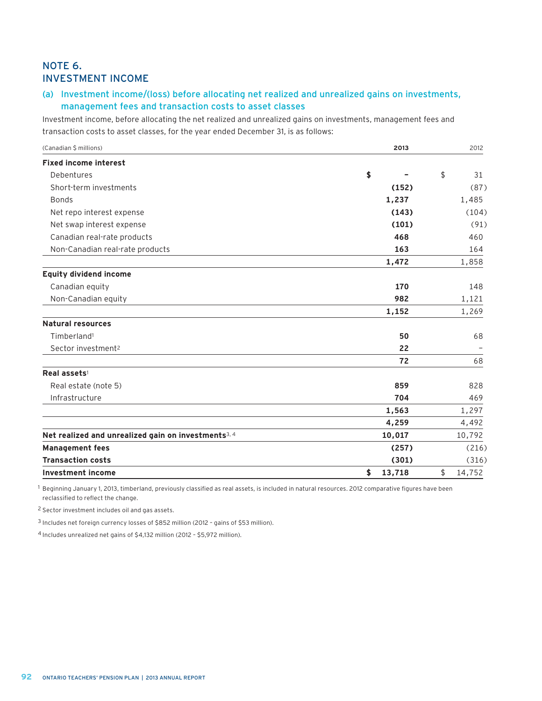# NOTE 6. INVESTMENT INCOME

# (a) Investment income/(loss) before allocating net realized and unrealized gains on investments, management fees and transaction costs to asset classes

Investment income, before allocating the net realized and unrealized gains on investments, management fees and transaction costs to asset classes, for the year ended December 31, is as follows:

| (Canadian \$ millions)                                          | 2013         | 2012         |
|-----------------------------------------------------------------|--------------|--------------|
| <b>Fixed income interest</b>                                    |              |              |
| Debentures                                                      | \$           | \$<br>31     |
| Short-term investments                                          | (152)        | (87)         |
| <b>Bonds</b>                                                    | 1,237        | 1,485        |
| Net repo interest expense                                       | (143)        | (104)        |
| Net swap interest expense                                       | (101)        | (91)         |
| Canadian real-rate products                                     | 468          | 460          |
| Non-Canadian real-rate products                                 | 163          | 164          |
|                                                                 | 1,472        | 1,858        |
| <b>Equity dividend income</b>                                   |              |              |
| Canadian equity                                                 | 170          | 148          |
| Non-Canadian equity                                             | 982          | 1,121        |
|                                                                 | 1,152        | 1,269        |
| <b>Natural resources</b>                                        |              |              |
| Timberland <sup>1</sup>                                         | 50           | 68           |
| Sector investment <sup>2</sup>                                  | 22           |              |
|                                                                 | 72           | 68           |
| Real assets <sup>1</sup>                                        |              |              |
| Real estate (note 5)                                            | 859          | 828          |
| Infrastructure                                                  | 704          | 469          |
|                                                                 | 1,563        | 1,297        |
|                                                                 | 4,259        | 4,492        |
| Net realized and unrealized gain on investments <sup>3, 4</sup> | 10,017       | 10,792       |
| <b>Management fees</b>                                          | (257)        | (216)        |
| <b>Transaction costs</b>                                        | (301)        | (316)        |
| <b>Investment income</b>                                        | \$<br>13,718 | \$<br>14,752 |

 $^1$  Beginning January 1, 2013, timberland, previously classified as real assets, is included in natural resources. 2012 comparative figures have been reclassified to reflect the change.

2 Sector investment includes oil and gas assets.

3 Includes net foreign currency losses of \$852 million (2012 – gains of \$53 million).

4 Includes unrealized net gains of \$4,132 million (2012 – \$5,972 million).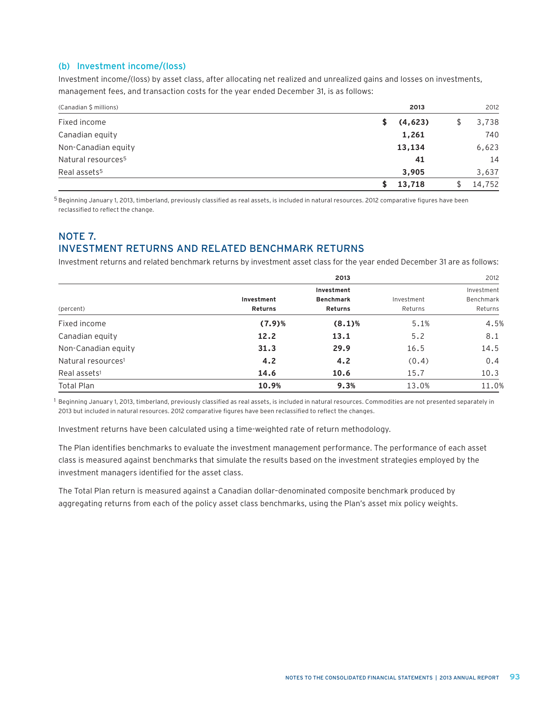## (b) Investment income/(loss)

Investment income/(loss) by asset class, after allocating net realized and unrealized gains and losses on investments, management fees, and transaction costs for the year ended December 31, is as follows:

| (Canadian \$ millions)         | 2013    | 2012        |
|--------------------------------|---------|-------------|
| Fixed income                   | (4,623) | \$<br>3,738 |
| Canadian equity                | 1,261   | 740         |
| Non-Canadian equity            | 13,134  | 6,623       |
| Natural resources <sup>5</sup> | 41      | 14          |
| Real assets <sup>5</sup>       | 3,905   | 3,637       |
|                                | 13,718  | 14,752      |

5 Beginning January 1, 2013, timberland, previously classified as real assets, is included in natural resources. 2012 comparative figures have been reclassified to reflect the change.

# NOTE 7. INVESTMENT RETURNS AND RELATED BENCHMARK RETURNS

Investment returns and related benchmark returns by investment asset class for the year ended December 31 are as follows:

|                                |            | 2013             |            | 2012       |
|--------------------------------|------------|------------------|------------|------------|
|                                |            | Investment       |            | Investment |
|                                | Investment | <b>Benchmark</b> | Investment | Benchmark  |
| (percent)                      | Returns    | Returns          | Returns    | Returns    |
| Fixed income                   | (7.9)%     | $(8.1)\%$        | 5.1%       | 4.5%       |
| Canadian equity                | 12.2       | 13.1             | 5.2        | 8.1        |
| Non-Canadian equity            | 31.3       | 29.9             | 16.5       | 14.5       |
| Natural resources <sup>1</sup> | 4.2        | 4.2              | (0.4)      | 0.4        |
| Real assets <sup>1</sup>       | 14.6       | 10.6             | 15.7       | 10.3       |
| Total Plan                     | 10.9%      | 9.3%             | 13.0%      | 11.0%      |

<sup>1</sup> Beginning January 1, 2013, timberland, previously classified as real assets, is included in natural resources. Commodities are not presented separately in 2013 but included in natural resources. 2012 comparative figures have been reclassified to reflect the changes.

Investment returns have been calculated using a time-weighted rate of return methodology.

The Plan identifies benchmarks to evaluate the investment management performance. The performance of each asset class is measured against benchmarks that simulate the results based on the investment strategies employed by the investment managers identified for the asset class.

The Total Plan return is measured against a Canadian dollar–denominated composite benchmark produced by aggregating returns from each of the policy asset class benchmarks, using the Plan's asset mix policy weights.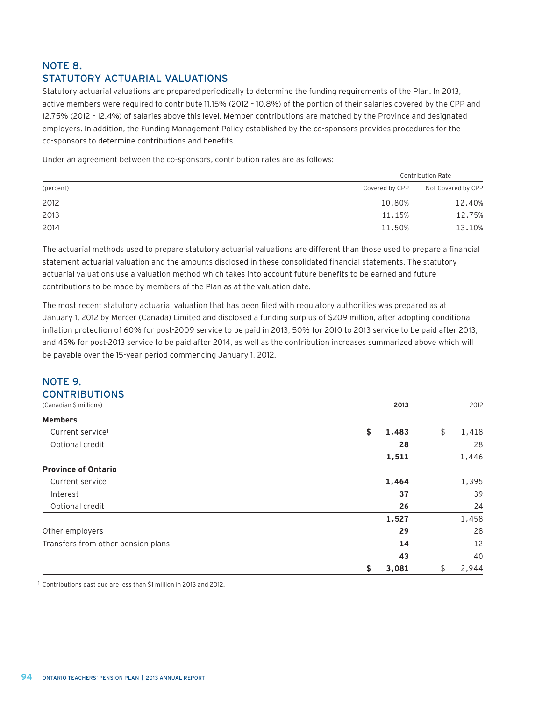# NOTE 8. STATUTORY ACTUARIAL VALUATIONS

Statutory actuarial valuations are prepared periodically to determine the funding requirements of the Plan. In 2013, active members were required to contribute 11.15% (2012 – 10.8%) of the portion of their salaries covered by the CPP and 12.75% (2012 – 12.4%) of salaries above this level. Member contributions are matched by the Province and designated employers. In addition, the Funding Management Policy established by the co-sponsors provides procedures for the co-sponsors to determine contributions and benefits.

Under an agreement between the co-sponsors, contribution rates are as follows:

| (percent) |                | <b>Contribution Rate</b> |  |  |
|-----------|----------------|--------------------------|--|--|
|           | Covered by CPP | Not Covered by CPP       |  |  |
| 2012      | 10.80%         | 12.40%                   |  |  |
| 2013      | 11.15%         | 12.75%                   |  |  |
| 2014      | 11.50%         | 13.10%                   |  |  |

The actuarial methods used to prepare statutory actuarial valuations are different than those used to prepare a financial statement actuarial valuation and the amounts disclosed in these consolidated financial statements. The statutory actuarial valuations use a valuation method which takes into account future benefits to be earned and future contributions to be made by members of the Plan as at the valuation date.

The most recent statutory actuarial valuation that has been filed with regulatory authorities was prepared as at January 1, 2012 by Mercer (Canada) Limited and disclosed a funding surplus of \$209 million, after adopting conditional inflation protection of 60% for post-2009 service to be paid in 2013, 50% for 2010 to 2013 service to be paid after 2013, and 45% for post-2013 service to be paid after 2014, as well as the contribution increases summarized above which will be payable over the 15-year period commencing January 1, 2012.

# NOTE 9. **CONTRIBUTIONS**

| (Canadian \$ millions)             | 2013        |    | 2012  |
|------------------------------------|-------------|----|-------|
| <b>Members</b>                     |             |    |       |
| Current service <sup>1</sup>       | \$<br>1,483 | \$ | 1,418 |
| Optional credit                    | 28          |    | 28    |
|                                    | 1,511       |    | 1,446 |
| <b>Province of Ontario</b>         |             |    |       |
| Current service                    | 1,464       |    | 1,395 |
| Interest                           | 37          |    | 39    |
| Optional credit                    | 26          |    | 24    |
|                                    | 1,527       |    | 1,458 |
| Other employers                    | 29          |    | 28    |
| Transfers from other pension plans | 14          |    | 12    |
|                                    | 43          |    | 40    |
|                                    | 3,081<br>\$ | \$ | 2,944 |

1 Contributions past due are less than \$1 million in 2013 and 2012.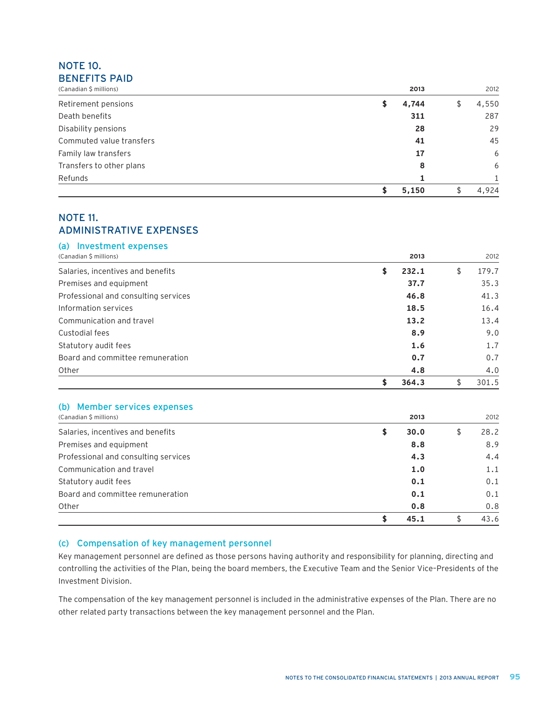# NOTE 10. BENEFITS PAID

| (Canadian \$ millions)   | 2013  | 2012        |
|--------------------------|-------|-------------|
| Retirement pensions      | 4,744 | \$<br>4,550 |
| Death benefits           | 311   | 287         |
| Disability pensions      | 28    | 29          |
| Commuted value transfers | 41    | 45          |
| Family law transfers     | 17    | 6           |
| Transfers to other plans | 8     | 6           |
| Refunds                  |       |             |
|                          | 5,150 | \$<br>4,924 |

# NOTE 11. ADMINISTRATIVE EXPENSES

### (a) Investment expenses

| (Canadian \$ millions)               | 2013  | 2012        |
|--------------------------------------|-------|-------------|
| Salaries, incentives and benefits    | 232.1 | \$<br>179.7 |
| Premises and equipment               | 37.7  | 35.3        |
| Professional and consulting services | 46.8  | 41.3        |
| Information services                 | 18.5  | 16.4        |
| Communication and travel             | 13.2  | 13.4        |
| Custodial fees                       | 8.9   | 9.0         |
| Statutory audit fees                 | 1.6   | 1.7         |
| Board and committee remuneration     | 0.7   | 0.7         |
| Other                                | 4.8   | 4.0         |
|                                      | 364.3 | \$<br>301.5 |

### (b) Member services expenses

| (Canadian \$ millions)               | 2013 | 2012       |
|--------------------------------------|------|------------|
| Salaries, incentives and benefits    | 30.0 | \$<br>28.2 |
| Premises and equipment               | 8.8  | 8.9        |
| Professional and consulting services | 4.3  | 4.4        |
| Communication and travel             | 1.0  | 1.1        |
| Statutory audit fees                 | 0.1  | 0.1        |
| Board and committee remuneration     | 0.1  | 0.1        |
| Other                                | 0.8  | 0.8        |
|                                      | 45.1 | \$<br>43.6 |

## (c) Compensation of key management personnel

Key management personnel are defined as those persons having authority and responsibility for planning, directing and controlling the activities of the Plan, being the board members, the Executive Team and the Senior Vice–Presidents of the Investment Division.

The compensation of the key management personnel is included in the administrative expenses of the Plan. There are no other related party transactions between the key management personnel and the Plan.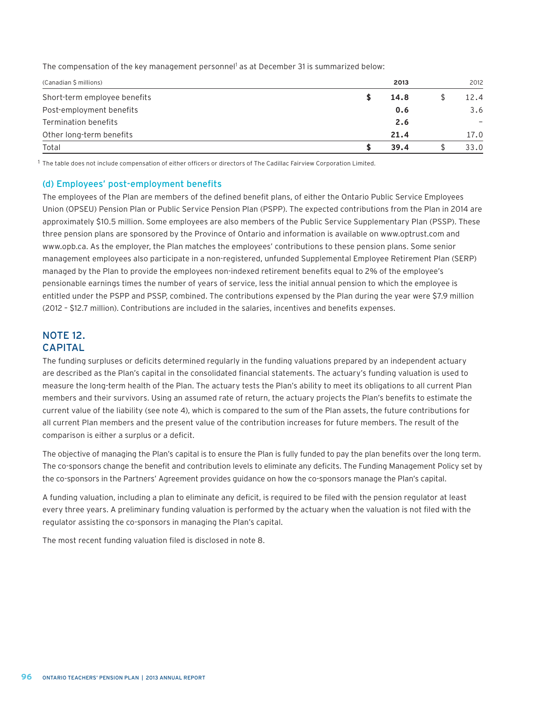The compensation of the key management personnel<sup>1</sup> as at December 31 is summarized below:

| (Canadian \$ millions)       | 2013 | 2012 |
|------------------------------|------|------|
| Short-term employee benefits | 14.8 | 12.4 |
| Post-employment benefits     | 0.6  | 3.6  |
| Termination benefits         | 2.6  |      |
| Other long-term benefits     | 21.4 | 17.0 |
| Total                        | 39.4 | 33.0 |

 $1$  The table does not include compensation of either officers or directors of The Cadillac Fairview Corporation Limited.

### (d) Employees' post-employment benefits

The employees of the Plan are members of the defined benefit plans, of either the Ontario Public Service Employees Union (OPSEU) Pension Plan or Public Service Pension Plan (PSPP). The expected contributions from the Plan in 2014 are approximately \$10.5 million. Some employees are also members of the Public Service Supplementary Plan (PSSP). These three pension plans are sponsored by the Province of Ontario and information is available on www.optrust.com and www.opb.ca. As the employer, the Plan matches the employees' contributions to these pension plans. Some senior management employees also participate in a non-registered, unfunded Supplemental Employee Retirement Plan (SERP) managed by the Plan to provide the employees non-indexed retirement benefits equal to 2% of the employee's pensionable earnings times the number of years of service, less the initial annual pension to which the employee is entitled under the PSPP and PSSP, combined. The contributions expensed by the Plan during the year were \$7.9 million (2012 - \$12.7 million). Contributions are included in the salaries, incentives and benefits expenses.

# NOTE 12. CAPITAL

The funding surpluses or deficits determined regularly in the funding valuations prepared by an independent actuary are described as the Plan's capital in the consolidated financial statements. The actuary's funding valuation is used to measure the long-term health of the Plan. The actuary tests the Plan's ability to meet its obligations to all current Plan members and their survivors. Using an assumed rate of return, the actuary projects the Plan's benefits to estimate the current value of the liability (see note 4), which is compared to the sum of the Plan assets, the future contributions for all current Plan members and the present value of the contribution increases for future members. The result of the comparison is either a surplus or a deficit.

The objective of managing the Plan's capital is to ensure the Plan is fully funded to pay the plan benefits over the long term. The co-sponsors change the benefit and contribution levels to eliminate any deficits. The Funding Management Policy set by the co-sponsors in the Partners' Agreement provides guidance on how the co-sponsors manage the Plan's capital.

A funding valuation, including a plan to eliminate any deficit, is required to be filed with the pension regulator at least every three years. A preliminary funding valuation is performed by the actuary when the valuation is not filed with the regulator assisting the co-sponsors in managing the Plan's capital.

The most recent funding valuation filed is disclosed in note 8.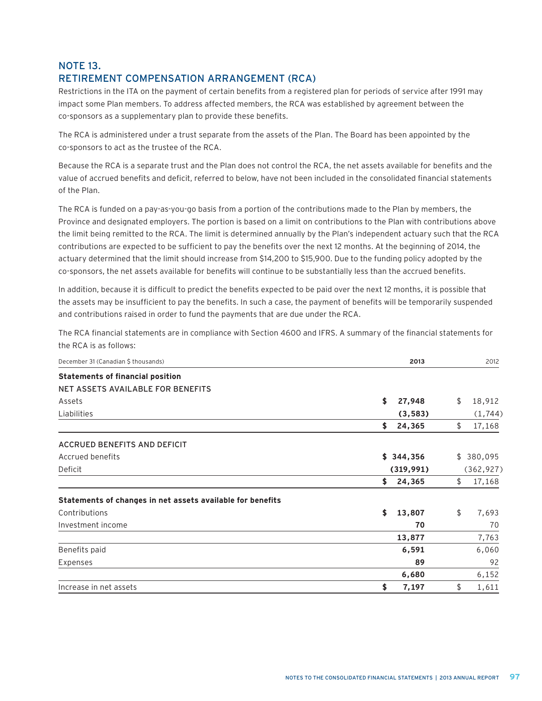# NOTE 13. RETIREMENT COMPENSATION ARRANGEMENT (RCA)

Restrictions in the ITA on the payment of certain benefits from a registered plan for periods of service after 1991 may impact some Plan members. To address affected members, the RCA was established by agreement between the co-sponsors as a supplementary plan to provide these benefits.

The RCA is administered under a trust separate from the assets of the Plan. The Board has been appointed by the co-sponsors to act as the trustee of the RCA.

Because the RCA is a separate trust and the Plan does not control the RCA, the net assets available for benefits and the value of accrued benefits and deficit, referred to below, have not been included in the consolidated financial statements of the Plan.

The RCA is funded on a pay-as-you-go basis from a portion of the contributions made to the Plan by members, the Province and designated employers. The portion is based on a limit on contributions to the Plan with contributions above the limit being remitted to the RCA. The limit is determined annually by the Plan's independent actuary such that the RCA contributions are expected to be sufficient to pay the benefits over the next 12 months. At the beginning of 2014, the actuary determined that the limit should increase from \$14,200 to \$15,900. Due to the funding policy adopted by the co-sponsors, the net assets available for benefits will continue to be substantially less than the accrued benefits.

In addition, because it is difficult to predict the benefits expected to be paid over the next 12 months, it is possible that the assets may be insufficient to pay the benefits. In such a case, the payment of benefits will be temporarily suspended and contributions raised in order to fund the payments that are due under the RCA.

The RCA financial statements are in compliance with Section 4600 and IFRS. A summary of the financial statements for the RCA is as follows:

| December 31 (Canadian \$ thousands)                        | 2013         | 2012          |
|------------------------------------------------------------|--------------|---------------|
| <b>Statements of financial position</b>                    |              |               |
| NET ASSETS AVAILABLE FOR BENEFITS                          |              |               |
| Assets                                                     | \$<br>27,948 | \$<br>18,912  |
| Liabilities                                                | (3, 583)     | (1,744)       |
|                                                            | \$<br>24,365 | \$<br>17,168  |
| <b>ACCRUED BENEFITS AND DEFICIT</b>                        |              |               |
| Accrued benefits                                           | \$344,356    | \$<br>380,095 |
| Deficit                                                    | (319, 991)   | (362, 927)    |
|                                                            | \$<br>24,365 | \$<br>17,168  |
| Statements of changes in net assets available for benefits |              |               |
| Contributions                                              | \$<br>13,807 | \$<br>7,693   |
| Investment income                                          | 70           | 70            |
|                                                            | 13,877       | 7,763         |
| Benefits paid                                              | 6,591        | 6,060         |
| Expenses                                                   | 89           | 92            |
|                                                            | 6,680        | 6,152         |
| Increase in net assets                                     | \$<br>7,197  | \$<br>1,611   |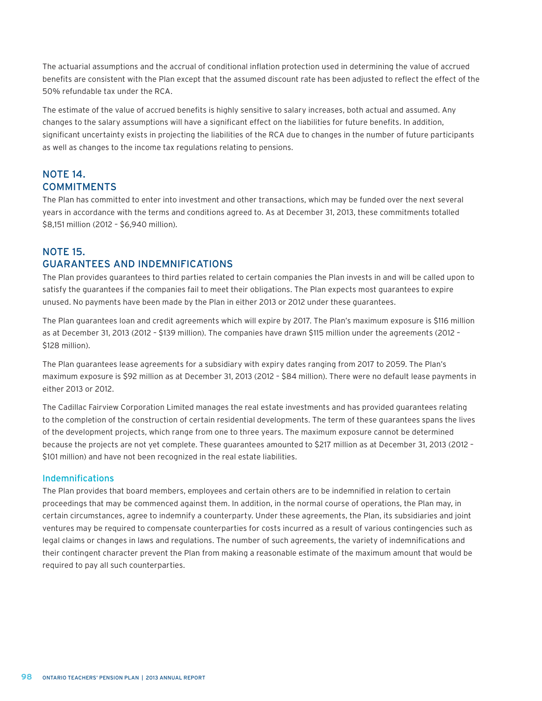The actuarial assumptions and the accrual of conditional inflation protection used in determining the value of accrued benefits are consistent with the Plan except that the assumed discount rate has been adjusted to reflect the effect of the 50% refundable tax under the RCA.

The estimate of the value of accrued benefits is highly sensitive to salary increases, both actual and assumed. Any changes to the salary assumptions will have a significant effect on the liabilities for future benefits. In addition, significant uncertainty exists in projecting the liabilities of the RCA due to changes in the number of future participants as well as changes to the income tax regulations relating to pensions.

# NOTE 14. **COMMITMENTS**

The Plan has committed to enter into investment and other transactions, which may be funded over the next several years in accordance with the terms and conditions agreed to. As at December 31, 2013, these commitments totalled \$8,151 million (2012 – \$6,940 million).

# NOTE 15. GUARANTEES AND INDEMNIFICATIONS

The Plan provides guarantees to third parties related to certain companies the Plan invests in and will be called upon to satisfy the guarantees if the companies fail to meet their obligations. The Plan expects most guarantees to expire unused. No payments have been made by the Plan in either 2013 or 2012 under these guarantees.

The Plan guarantees loan and credit agreements which will expire by 2017. The Plan's maximum exposure is \$116 million as at December 31, 2013 (2012 – \$139 million). The companies have drawn \$115 million under the agreements (2012 – \$128 million).

The Plan guarantees lease agreements for a subsidiary with expiry dates ranging from 2017 to 2059. The Plan's maximum exposure is \$92 million as at December 31, 2013 (2012 – \$84 million). There were no default lease payments in either 2013 or 2012.

The Cadillac Fairview Corporation Limited manages the real estate investments and has provided guarantees relating to the completion of the construction of certain residential developments. The term of these guarantees spans the lives of the development projects, which range from one to three years. The maximum exposure cannot be determined because the projects are not yet complete. These guarantees amounted to \$217 million as at December 31, 2013 (2012 – \$101 million) and have not been recognized in the real estate liabilities.

# **Indemnifications**

The Plan provides that board members, employees and certain others are to be indemnified in relation to certain proceedings that may be commenced against them. In addition, in the normal course of operations, the Plan may, in certain circumstances, agree to indemnify a counterparty. Under these agreements, the Plan, its subsidiaries and joint ventures may be required to compensate counterparties for costs incurred as a result of various contingencies such as legal claims or changes in laws and regulations. The number of such agreements, the variety of indemnifications and their contingent character prevent the Plan from making a reasonable estimate of the maximum amount that would be required to pay all such counterparties.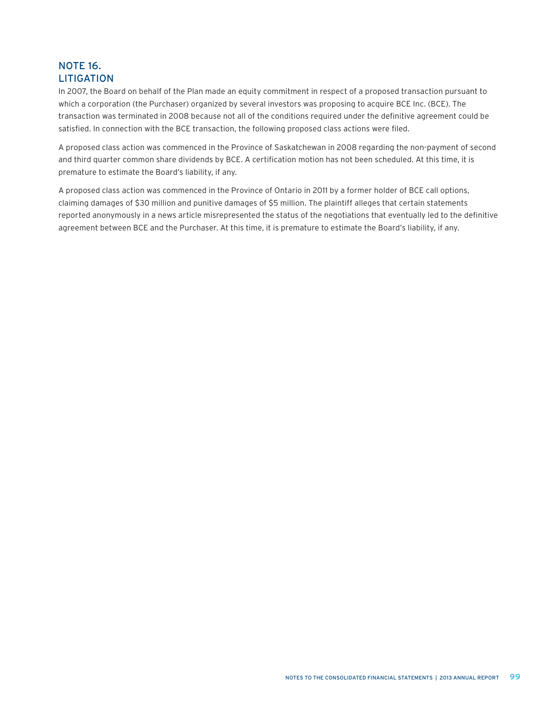# NOTE 16. **LITIGATION**

In 2007, the Board on behalf of the Plan made an equity commitment in respect of a proposed transaction pursuant to which a corporation (the Purchaser) organized by several investors was proposing to acquire BCE Inc. (BCE). The transaction was terminated in 2008 because not all of the conditions required under the definitive agreement could be satisfied. In connection with the BCE transaction, the following proposed class actions were filed.

A proposed class action was commenced in the Province of Saskatchewan in 2008 regarding the non-payment of second and third quarter common share dividends by BCE. A certification motion has not been scheduled. At this time, it is premature to estimate the Board's liability, if any.

A proposed class action was commenced in the Province of Ontario in 2011 by a former holder of BCE call options, claiming damages of \$30 million and punitive damages of \$5 million. The plaintiff alleges that certain statements reported anonymously in a news article misrepresented the status of the negotiations that eventually led to the definitive agreement between BCE and the Purchaser. At this time, it is premature to estimate the Board's liability, if any.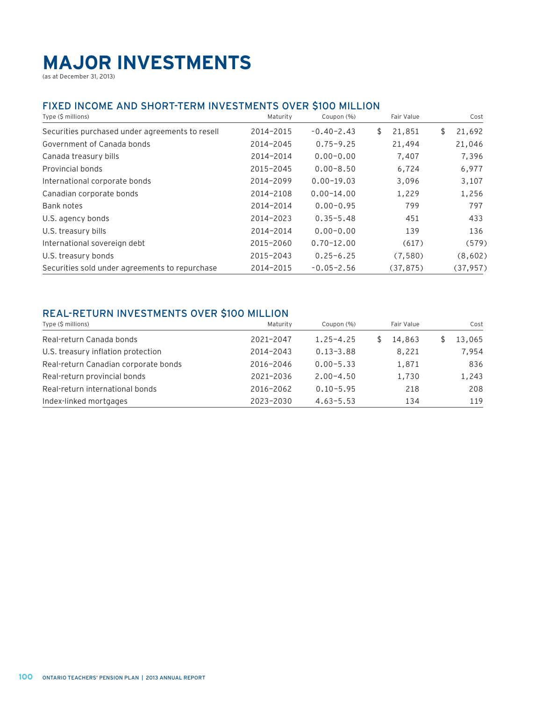# **MAJOR INVESTMENTS**

(as at December 31, 2013)

# FIXED INCOME AND SHORT-TERM INVESTMENTS OVER \$100 MILLION

| Type (\$ millions)                              | Maturity  | Coupon (%)     | Fair Value   | Cost         |
|-------------------------------------------------|-----------|----------------|--------------|--------------|
| Securities purchased under agreements to resell | 2014-2015 | $-0.40 - 2.43$ | \$<br>21,851 | \$<br>21,692 |
| Government of Canada bonds                      | 2014-2045 | $0.75 - 9.25$  | 21,494       | 21,046       |
| Canada treasury bills                           | 2014-2014 | $0.00 - 0.00$  | 7,407        | 7,396        |
| <b>Provincial bonds</b>                         | 2015-2045 | $0.00 - 8.50$  | 6,724        | 6,977        |
| International corporate bonds                   | 2014-2099 | $0.00 - 19.03$ | 3,096        | 3,107        |
| Canadian corporate bonds                        | 2014-2108 | $0.00 - 14.00$ | 1,229        | 1,256        |
| Bank notes                                      | 2014-2014 | $0.00 - 0.95$  | 799          | 797          |
| U.S. agency bonds                               | 2014-2023 | $0.35 - 5.48$  | 451          | 433          |
| U.S. treasury bills                             | 2014-2014 | $0.00 - 0.00$  | 139          | 136          |
| International sovereign debt                    | 2015-2060 | $0.70 - 12.00$ | (617)        | (579)        |
| U.S. treasury bonds                             | 2015-2043 | $0.25 - 6.25$  | (7, 580)     | (8,602)      |
| Securities sold under agreements to repurchase  | 2014-2015 | $-0.05 - 2.56$ | (37, 875)    | (37, 957)    |

# REAL-RETURN INVESTMENTS OVER \$100 MILLION

| Type (\$ millions)                   | Maturity  | Coupon (%)    | Fair Value | Cost   |
|--------------------------------------|-----------|---------------|------------|--------|
| Real-return Canada bonds             | 2021-2047 | $1.25 - 4.25$ | 14,863     | 13,065 |
| U.S. treasury inflation protection   | 2014-2043 | $0.13 - 3.88$ | 8,221      | 7.954  |
| Real-return Canadian corporate bonds | 2016-2046 | $0.00 - 5.33$ | 1,871      | 836    |
| Real-return provincial bonds         | 2021-2036 | $2.00 - 4.50$ | 1,730      | 1,243  |
| Real-return international bonds      | 2016-2062 | $0.10 - 5.95$ | 218        | 208    |
| Index-linked mortgages               | 2023-2030 | $4.63 - 5.53$ | 134        | 119    |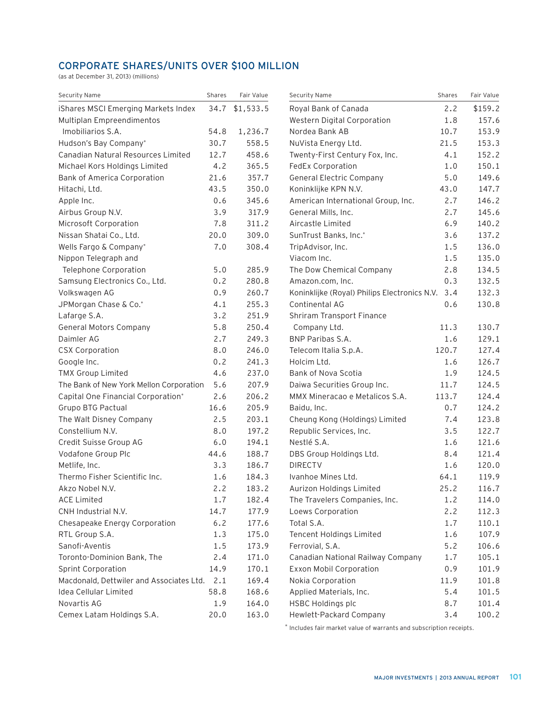# CORPORATE SHARES/UNITS OVER \$100 MILLION

(as at December 31, 2013) (millions)

| Security Name                                | Shares | Fair Value | Security Name                                | Shares | Fair Value |
|----------------------------------------------|--------|------------|----------------------------------------------|--------|------------|
| iShares MSCI Emerging Markets Index          | 34.7   | \$1,533.5  | Royal Bank of Canada                         | 2.2    | \$159.2    |
| Multiplan Empreendimentos                    |        |            | Western Digital Corporation                  | 1.8    | 157.6      |
| Imobiliarios S.A.                            | 54.8   | 1,236.7    | Nordea Bank AB                               | 10.7   | 153.9      |
| Hudson's Bay Company*                        | 30.7   | 558.5      | NuVista Energy Ltd.                          | 21.5   | 153.3      |
| Canadian Natural Resources Limited           | 12.7   | 458.6      | Twenty-First Century Fox, Inc.               | 4.1    | 152.2      |
| Michael Kors Holdings Limited                | 4.2    | 365.5      | <b>FedEx Corporation</b>                     | 1.0    | 150.1      |
| Bank of America Corporation                  | 21.6   | 357.7      | <b>General Electric Company</b>              | 5.0    | 149.6      |
| Hitachi, Ltd.                                | 43.5   | 350.0      | Koninklijke KPN N.V.                         | 43.0   | 147.7      |
| Apple Inc.                                   | 0.6    | 345.6      | American International Group, Inc.           | 2.7    | 146.2      |
| Airbus Group N.V.                            | 3.9    | 317.9      | General Mills, Inc.                          | 2.7    | 145.6      |
| Microsoft Corporation                        | 7.8    | 311.2      | Aircastle Limited                            | 6.9    | 140.2      |
| Nissan Shatai Co., Ltd.                      | 20.0   | 309.0      | SunTrust Banks, Inc.*                        | 3.6    | 137.2      |
| Wells Fargo & Company*                       | 7.0    | 308.4      | TripAdvisor, Inc.                            | 1.5    | 136.0      |
| Nippon Telegraph and                         |        |            | Viacom Inc.                                  | 1.5    | 135.0      |
| <b>Telephone Corporation</b>                 | 5.0    | 285.9      | The Dow Chemical Company                     | 2.8    | 134.5      |
| Samsung Electronics Co., Ltd.                | 0.2    | 280.8      | Amazon.com, Inc.                             | 0.3    | 132.5      |
| Volkswagen AG                                | 0.9    | 260.7      | Koninklijke (Royal) Philips Electronics N.V. | 3.4    | 132.3      |
| JPMorgan Chase & Co.*                        | 4.1    | 255.3      | Continental AG                               | 0.6    | 130.8      |
| Lafarge S.A.                                 | 3.2    | 251.9      | Shriram Transport Finance                    |        |            |
| <b>General Motors Company</b>                | 5.8    | 250.4      | Company Ltd.                                 | 11.3   | 130.7      |
| Daimler AG                                   | 2.7    | 249.3      | BNP Paribas S.A.                             | 1.6    | 129.1      |
| <b>CSX Corporation</b>                       | 8.0    | 246.0      | Telecom Italia S.p.A.                        | 120.7  | 127.4      |
| Google Inc.                                  | 0.2    | 241.3      | Holcim Ltd.                                  | 1.6    | 126.7      |
| <b>TMX Group Limited</b>                     | 4.6    | 237.0      | Bank of Nova Scotia                          | 1.9    | 124.5      |
| The Bank of New York Mellon Corporation      | 5.6    | 207.9      | Daiwa Securities Group Inc.                  | 11.7   | 124.5      |
| Capital One Financial Corporation*           | 2.6    | 206.2      | MMX Mineracao e Metalicos S.A.               | 113.7  | 124.4      |
| Grupo BTG Pactual                            | 16.6   | 205.9      | Baidu, Inc.                                  | 0.7    | 124.2      |
| The Walt Disney Company                      | 2.5    | 203.1      | Cheung Kong (Holdings) Limited               | 7.4    | 123.8      |
| Constellium N.V.                             | 8.0    | 197.2      | Republic Services, Inc.                      | 3.5    | 122.7      |
| Credit Suisse Group AG                       | 6.0    | 194.1      | Nestlé S.A.                                  | 1.6    | 121.6      |
| Vodafone Group Plc                           | 44.6   | 188.7      | DBS Group Holdings Ltd.                      | 8.4    | 121.4      |
| Metlife, Inc.                                | 3.3    | 186.7      | <b>DIRECTV</b>                               | 1.6    | 120.0      |
| Thermo Fisher Scientific Inc.                | 1.6    | 184.3      | Ivanhoe Mines Ltd.                           | 64.1   | 119.9      |
| Akzo Nobel N.V.                              | 2.2    | 183.2      | Aurizon Holdings Limited                     | 25.2   | 116.7      |
| <b>ACE Limited</b>                           | 1.7    | 182.4      | The Travelers Companies, Inc.                | 1.2    | 114.0      |
| CNH Industrial N.V.                          | 14.7   | 177.9      | Loews Corporation                            | 2.2    | 112.3      |
| Chesapeake Energy Corporation                | 6.2    | 177.6      | Total S.A.                                   | 1.7    | 110.1      |
| RTL Group S.A.                               | 1.3    | 175.0      | Tencent Holdings Limited                     | 1.6    | 107.9      |
| Sanofi-Aventis                               | 1.5    | 173.9      | Ferrovial, S.A.                              | 5.2    | 106.6      |
| Toronto-Dominion Bank, The                   | 2.4    | 171.0      | Canadian National Railway Company            | 1.7    | 105.1      |
| Sprint Corporation                           | 14.9   | 170.1      | <b>Exxon Mobil Corporation</b>               | 0.9    | 101.9      |
| Macdonald, Dettwiler and Associates Ltd. 2.1 |        | 169.4      | Nokia Corporation                            | 11.9   | 101.8      |
| Idea Cellular Limited                        | 58.8   | 168.6      | Applied Materials, Inc.                      | 5.4    | 101.5      |
| Novartis AG                                  | 1.9    | 164.0      | <b>HSBC Holdings plc</b>                     | 8.7    | 101.4      |
| Cemex Latam Holdings S.A.                    | 20.0   | 163.0      | Hewlett-Packard Company                      | 3.4    | 100.2      |
|                                              |        |            |                                              |        |            |

\* Includes fair market value of warrants and subscription receipts.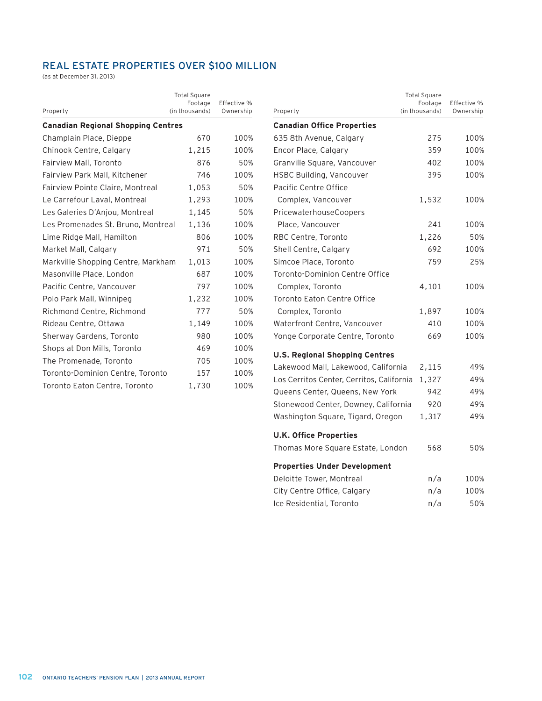# REAL ESTATE PROPERTIES OVER \$100 MILLION

(as at December 31, 2013)

|                                           | <b>Total Square</b>       |                          |
|-------------------------------------------|---------------------------|--------------------------|
| Property                                  | Footage<br>(in thousands) | Effective %<br>Ownership |
| <b>Canadian Regional Shopping Centres</b> |                           |                          |
| Champlain Place, Dieppe                   | 670                       | 100%                     |
| Chinook Centre, Calgary                   | 1,215                     | 100%                     |
| Fairview Mall, Toronto                    | 876                       | 50%                      |
| Fairview Park Mall, Kitchener             | 746                       | 100%                     |
| Fairview Pointe Claire, Montreal          | 1,053                     | 50%                      |
| Le Carrefour Laval, Montreal              | 1,293                     | 100%                     |
| Les Galeries D'Anjou, Montreal            | 1.145                     | 50%                      |
| Les Promenades St. Bruno, Montreal        | 1,136                     | 100%                     |
| Lime Ridge Mall, Hamilton                 | 806                       | 100%                     |
| Market Mall, Calgary                      | 971                       | 50%                      |
| Markville Shopping Centre, Markham        | 1,013                     | 100%                     |
| Masonville Place, London                  | 687                       | 100%                     |
| Pacific Centre, Vancouver                 | 797                       | 100%                     |
| Polo Park Mall, Winnipeg                  | 1,232                     | 100%                     |
| Richmond Centre, Richmond                 | 777                       | 50%                      |
| Rideau Centre, Ottawa                     | 1,149                     | 100%                     |
| Sherway Gardens, Toronto                  | 980                       | 100%                     |
| Shops at Don Mills, Toronto               | 469                       | 100%                     |
| The Promenade, Toronto                    | 705                       | 100%                     |
| Toronto-Dominion Centre, Toronto          | 157                       | 100%                     |
| Toronto Eaton Centre, Toronto             | 1,730                     | 100%                     |

| Property                                  | <b>Total Square</b><br>Footage<br>(in thousands) | Effective %<br>Ownership |
|-------------------------------------------|--------------------------------------------------|--------------------------|
| <b>Canadian Office Properties</b>         |                                                  |                          |
| 635 8th Avenue, Calgary                   | 275                                              | 100%                     |
| Encor Place, Calgary                      | 359                                              | 100%                     |
| Granville Square, Vancouver               | 402                                              | 100%                     |
| <b>HSBC Building, Vancouver</b>           | 395                                              | 100%                     |
| <b>Pacific Centre Office</b>              |                                                  |                          |
| Complex, Vancouver                        | 1,532                                            | 100%                     |
| PricewaterhouseCoopers                    |                                                  |                          |
| Place, Vancouver                          | 241                                              | 100%                     |
| RBC Centre, Toronto                       | 1,226                                            | 50%                      |
| Shell Centre, Calgary                     | 692                                              | 100%                     |
| Simcoe Place, Toronto                     | 759                                              | 25%                      |
| Toronto-Dominion Centre Office            |                                                  |                          |
| Complex, Toronto                          | 4,101                                            | 100%                     |
| <b>Toronto Eaton Centre Office</b>        |                                                  |                          |
| Complex, Toronto                          | 1,897                                            | 100%                     |
| Waterfront Centre, Vancouver              | 410                                              | 100%                     |
| Yonge Corporate Centre, Toronto           | 669                                              | 100%                     |
| <b>U.S. Regional Shopping Centres</b>     |                                                  |                          |
| Lakewood Mall, Lakewood, California       | 2,115                                            | 49%                      |
| Los Cerritos Center, Cerritos, California | 1,327                                            | 49%                      |
| Queens Center, Queens, New York           | 942                                              | 49%                      |
| Stonewood Center, Downey, California      | 920                                              | 49%                      |
| Washington Square, Tigard, Oregon         | 1,317                                            | 49%                      |
| <b>U.K. Office Properties</b>             |                                                  |                          |
| Thomas More Square Estate, London         | 568                                              | 50%                      |
| <b>Properties Under Development</b>       |                                                  |                          |
| Deloitte Tower, Montreal                  | n/a                                              | 100%                     |
| City Centre Office, Calgary               | n/a                                              | 100%                     |
| Ice Residential, Toronto                  | n/a                                              | 50%                      |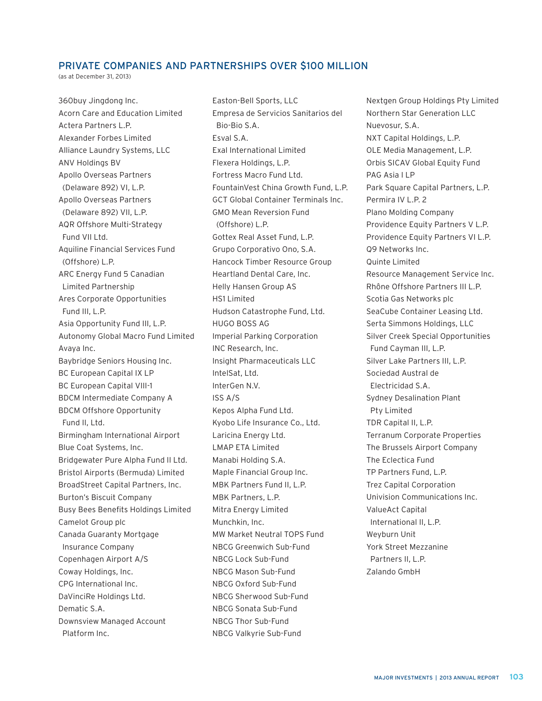# PRIVATE COMPANIES AND PARTNERSHIPS OVER \$100 MILLION

(as at December 31, 2013)

360buy Jingdong Inc. Acorn Care and Education Limited Actera Partners L.P. Alexander Forbes Limited Alliance Laundry Systems, LLC ANV Holdings BV Apollo Overseas Partners (Delaware 892) VI, L.P. Apollo Overseas Partners (Delaware 892) VII, L.P. AQR Offshore Multi-Strategy Fund VII Ltd. Aquiline Financial Services Fund (Offshore) L.P. ARC Energy Fund 5 Canadian Limited Partnership Ares Corporate Opportunities Fund III, L.P. Asia Opportunity Fund III, L.P. Autonomy Global Macro Fund Limited Avaya Inc. Baybridge Seniors Housing Inc. BC European Capital IX LP BC European Capital VIII-1 BDCM Intermediate Company A BDCM Offshore Opportunity Fund II, Ltd. Birmingham International Airport Blue Coat Systems, Inc. Bridgewater Pure Alpha Fund II Ltd. Bristol Airports (Bermuda) Limited BroadStreet Capital Partners, Inc. Burton's Biscuit Company Busy Bees Benefits Holdings Limited Camelot Group plc Canada Guaranty Mortgage Insurance Company Copenhagen Airport A/S Coway Holdings, Inc. CPG International Inc. DaVinciRe Holdings Ltd. Dematic S.A. Downsview Managed Account Platform Inc.

Easton-Bell Sports, LLC Empresa de Servicios Sanitarios del Bio-Bio S.A. Esval S.A. Exal International Limited Flexera Holdings, L.P. Fortress Macro Fund Ltd. FountainVest China Growth Fund, L.P. GCT Global Container Terminals Inc. GMO Mean Reversion Fund (Offshore) L.P. Gottex Real Asset Fund, L.P. Grupo Corporativo Ono, S.A. Hancock Timber Resource Group Heartland Dental Care, Inc. Helly Hansen Group AS HS1 Limited Hudson Catastrophe Fund, Ltd. HUGO BOSS AG Imperial Parking Corporation INC Research, Inc. Insight Pharmaceuticals LLC IntelSat, Ltd. InterGen N.V. ISS A/S Kepos Alpha Fund Ltd. Kyobo Life Insurance Co., Ltd. Laricina Energy Ltd. LMAP ETA Limited Manabi Holding S.A. Maple Financial Group Inc. MBK Partners Fund II, L.P. MBK Partners, L.P. Mitra Energy Limited Munchkin, Inc. MW Market Neutral TOPS Fund NBCG Greenwich Sub-Fund NBCG Lock Sub-Fund NBCG Mason Sub-Fund NBCG Oxford Sub-Fund NBCG Sherwood Sub-Fund NBCG Sonata Sub-Fund NBCG Thor Sub-Fund NBCG Valkyrie Sub-Fund

Nextgen Group Holdings Pty Limited Northern Star Generation LLC Nuevosur, S.A. NXT Capital Holdings, L.P. OLE Media Management, L.P. Orbis SICAV Global Equity Fund PAG Asia I LP Park Square Capital Partners, L.P. Permira IV L.P. 2 Plano Molding Company Providence Equity Partners V L.P. Providence Equity Partners VI L.P. Q9 Networks Inc. Quinte Limited Resource Management Service Inc. Rhône Offshore Partners III L.P. Scotia Gas Networks plc SeaCube Container Leasing Ltd. Serta Simmons Holdings, LLC Silver Creek Special Opportunities Fund Cayman III, L.P. Silver Lake Partners III, L.P. Sociedad Austral de Electricidad S.A. Sydney Desalination Plant Pty Limited TDR Capital II, L.P. Terranum Corporate Properties The Brussels Airport Company The Eclectica Fund TP Partners Fund, L.P. Trez Capital Corporation Univision Communications Inc. ValueAct Capital International II, L.P. Weyburn Unit York Street Mezzanine Partners II, L.P. Zalando GmbH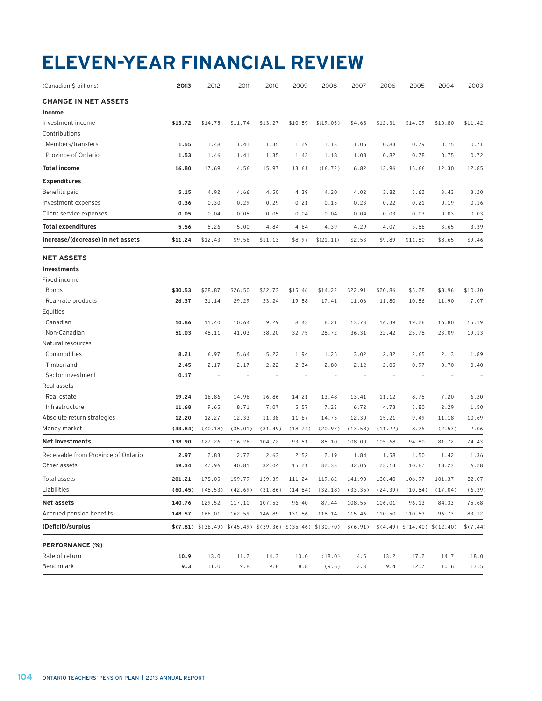# **ELEVEN-YEAR FINANCIAL REVIEW**

| (Canadian \$ billions)              | 2013    | 2012                     | 2011    | 2010    | 2009    | 2008                                                                | 2007    | 2006    | 2005    | 2004                         | 2003     |
|-------------------------------------|---------|--------------------------|---------|---------|---------|---------------------------------------------------------------------|---------|---------|---------|------------------------------|----------|
| <b>CHANGE IN NET ASSETS</b>         |         |                          |         |         |         |                                                                     |         |         |         |                              |          |
| Income                              |         |                          |         |         |         |                                                                     |         |         |         |                              |          |
| Investment income                   | \$13.72 | \$14.75                  | \$11.74 | \$13.27 | \$10.89 | \$(19.03)                                                           | \$4.68  | \$12.31 | \$14.09 | \$10.80                      | \$11.42  |
| Contributions                       |         |                          |         |         |         |                                                                     |         |         |         |                              |          |
| Members/transfers                   | 1.55    | 1.48                     | 1.41    | 1.35    | 1.29    | 1.13                                                                | 1.06    | 0.83    | 0.79    | 0.75                         | 0.71     |
| Province of Ontario                 | 1.53    | 1.46                     | 1.41    | 1.35    | 1.43    | 1.18                                                                | 1.08    | 0.82    | 0.78    | 0.75                         | 0.72     |
| <b>Total income</b>                 | 16.80   | 17.69                    | 14.56   | 15.97   | 13.61   | (16.72)                                                             | 6.82    | 13.96   | 15.66   | 12.30                        | 12.85    |
| <b>Expenditures</b>                 |         |                          |         |         |         |                                                                     |         |         |         |                              |          |
| Benefits paid                       | 5.15    | 4.92                     | 4.66    | 4.50    | 4.39    | 4.20                                                                | 4.02    | 3.82    | 3.62    | 3.43                         | 3.20     |
| Investment expenses                 | 0.36    | 0.30                     | 0.29    | 0.29    | 0.21    | 0.15                                                                | 0.23    | 0.22    | 0.21    | 0.19                         | 0.16     |
| Client service expenses             | 0.05    | 0.04                     | 0.05    | 0.05    | 0.04    | 0.04                                                                | 0.04    | 0.03    | 0.03    | 0.03                         | 0.03     |
| <b>Total expenditures</b>           | 5.56    | 5.26                     | 5.00    | 4.84    | 4.64    | 4.39                                                                | 4.29    | 4.07    | 3.86    | 3.65                         | 3.39     |
| Increase/(decrease) in net assets   | \$11.24 | \$12.43                  | \$9.56  | \$11.13 | \$8.97  | \$(21.11)                                                           | \$2.53  | \$9.89  | \$11.80 | \$8.65                       | \$9.46   |
| <b>NET ASSETS</b>                   |         |                          |         |         |         |                                                                     |         |         |         |                              |          |
| Investments                         |         |                          |         |         |         |                                                                     |         |         |         |                              |          |
| Fixed income                        |         |                          |         |         |         |                                                                     |         |         |         |                              |          |
| <b>Bonds</b>                        | \$30.53 | \$28.87                  | \$26.50 | \$22.73 | \$15.46 | \$14.22                                                             | \$22.91 | \$20.86 | \$5.28  | \$8.96                       | \$10.30  |
| Real-rate products                  | 26.37   | 31.14                    | 29.29   | 23.24   | 19.88   | 17.41                                                               | 11.06   | 11.80   | 10.56   | 11.90                        | 7.07     |
| Equities                            |         |                          |         |         |         |                                                                     |         |         |         |                              |          |
| Canadian                            | 10.86   | 11.40                    | 10.64   | 9.29    | 8.43    | 6.21                                                                | 13.73   | 16.39   | 19.26   | 16.80                        | 15.19    |
| Non-Canadian                        | 51.03   | 48.11                    | 41.03   | 38.20   | 32.75   | 28.72                                                               | 36.31   | 32.42   | 25.78   | 23.09                        | 19.13    |
| Natural resources                   |         |                          |         |         |         |                                                                     |         |         |         |                              |          |
| Commodities                         | 8.21    | 6.97                     | 5.64    | 5.22    | 1.94    | 1.25                                                                | 3.02    | 2.32    | 2.65    | 2.13                         | 1.89     |
| Timberland                          | 2.45    | 2.17                     | 2.17    | 2.22    | 2.34    | 2.80                                                                | 2.12    | 2.05    | 0.97    | 0.70                         | 0.40     |
| Sector investment                   | 0.17    | $\overline{\phantom{a}}$ |         |         |         |                                                                     |         |         |         |                              |          |
| Real assets                         |         |                          |         |         |         |                                                                     |         |         |         |                              |          |
| Real estate                         | 19.24   | 16.86                    | 14.96   | 16.86   | 14.21   | 13.48                                                               | 13.41   | 11.12   | 8.75    | 7.20                         | 6.20     |
| Infrastructure                      | 11.68   | 9.65                     | 8.71    | 7.07    | 5.57    | 7.23                                                                | 6.72    | 4.73    | 3.80    | 2.29                         | 1.50     |
| Absolute return strategies          | 12.20   | 12.27                    | 12.33   | 11.38   | 11.67   | 14.75                                                               | 12.30   | 15.21   | 9.49    | 11.18                        | 10.69    |
| Money market                        | (33.84) | (40.18)                  | (35.01) | (31.49) | (18.74) | (20.97)                                                             | (13.58) | (11.22) | 8.26    | (2.53)                       | 2.06     |
| Net investments                     | 138.90  | 127.26                   | 116.26  | 104.72  | 93.51   | 85.10                                                               | 108.00  | 105.68  | 94.80   | 81.72                        | 74.43    |
| Receivable from Province of Ontario | 2.97    | 2.83                     | 2.72    | 2.63    | 2.52    | 2.19                                                                | 1.84    | 1.58    | 1.50    | 1.42                         | 1.36     |
| Other assets                        | 59.34   | 47.96                    | 40.81   | 32.04   | 15.21   | 32.33                                                               | 32.06   | 23.14   | 10.67   | 18.23                        | 6.28     |
| Total assets                        | 201.21  | 178.05                   | 159.79  | 139.39  | 111.24  | 119.62                                                              | 141.90  | 130.40  | 106.97  | 101.37                       | 82.07    |
| Liabilities                         | (60.45) | (48.53)                  | (42.69) | (31.86) | (14.84) | (32.18)                                                             | (33.35) | (24.39) | (10.84) | (17.04)                      | (6.39)   |
| Net assets                          | 140.76  | 129.52                   | 117.10  | 107.53  | 96.40   | 87.44                                                               | 108.55  | 106.01  | 96.13   | 84.33                        | 75.68    |
| Accrued pension benefits            | 148.57  | 166.01                   | 162.59  | 146.89  | 131.86  | 118.14                                                              | 115.46  | 110.50  | 110.53  | 96.73                        | 83.12    |
| (Deficit)/surplus                   |         |                          |         |         |         | $(7.81)$ $(36.49)$ $(45.49)$ $(39.36)$ $(35.46)$ $(30.70)$ $(6.91)$ |         |         |         | \$(4.49) \$(14.40) \$(12.40) | \$(7.44) |
| <b>PERFORMANCE (%)</b>              |         |                          |         |         |         |                                                                     |         |         |         |                              |          |
| Rate of return                      | 10.9    | 13.0                     | 11.2    | 14.3    | 13.0    | (18.0)                                                              | 4.5     | 13.2    | 17.2    | 14.7                         | 18.0     |
| Benchmark                           | 9.3     | 11.0                     | 9.8     | 9.8     | 8.8     | (9.6)                                                               | 2.3     | 9.4     | 12.7    | 10.6                         | 13.5     |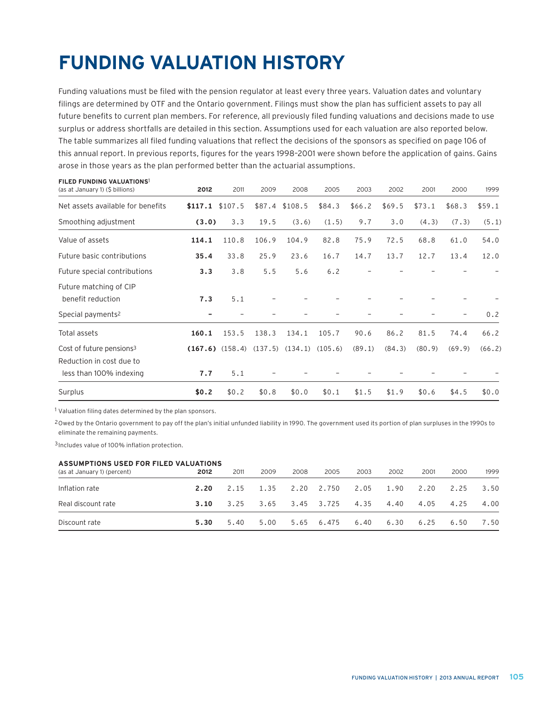# **FUNDING VALUATION HISTORY**

Funding valuations must be filed with the pension regulator at least every three years. Valuation dates and voluntary filings are determined by OTF and the Ontario government. Filings must show the plan has sufficient assets to pay all future benefits to current plan members. For reference, all previously filed funding valuations and decisions made to use surplus or address shortfalls are detailed in this section. Assumptions used for each valuation are also reported below. The table summarizes all filed funding valuations that reflect the decisions of the sponsors as specified on page 106 of this annual report. In previous reports, figures for the years 1998-2001 were shown before the application of gains. Gains arose in those years as the plan performed better than the actuarial assumptions.

| <b>FILED FUNDING VALUATIONS</b><br>(as at January 1) (\$ billions)                          | 2012    | 2011                                 | 2009   | 2008    | 2005    | 2003   | 2002   | 2001   | 2000   | 1999   |
|---------------------------------------------------------------------------------------------|---------|--------------------------------------|--------|---------|---------|--------|--------|--------|--------|--------|
| Net assets available for benefits                                                           | \$117.1 | \$107.5                              | \$87.4 | \$108.5 | \$84.3  | \$66.2 | \$69.5 | \$73.1 | \$68.3 | \$59.1 |
| Smoothing adjustment                                                                        | (3.0)   | 3.3                                  | 19.5   | (3.6)   | (1.5)   | 9.7    | 3.0    | (4.3)  | (7.3)  | (5.1)  |
| Value of assets                                                                             | 114.1   | 110.8                                | 106.9  | 104.9   | 82.8    | 75.9   | 72.5   | 68.8   | 61.0   | 54.0   |
| Future basic contributions                                                                  | 35.4    | 33.8                                 | 25.9   | 23.6    | 16.7    | 14.7   | 13.7   | 12.7   | 13.4   | 12.0   |
| Future special contributions                                                                | 3.3     | 3.8                                  | 5.5    | 5.6     | 6.2     |        |        |        |        |        |
| Future matching of CIP<br>benefit reduction                                                 | 7.3     | 5.1                                  |        |         |         |        |        |        |        |        |
| Special payments <sup>2</sup>                                                               |         |                                      |        |         |         |        |        |        |        | 0.2    |
| Total assets                                                                                | 160.1   | 153.5                                | 138.3  | 134.1   | 105.7   | 90.6   | 86.2   | 81.5   | 74.4   | 66.2   |
| Cost of future pensions <sup>3</sup><br>Reduction in cost due to<br>less than 100% indexing | 7.7     | $(167.6)$ $(158.4)$ $(137.5)$<br>5.1 |        | (134.1) | (105.6) | (89.1) | (84.3) | (80.9) | (69.9) | (66.2) |
| Surplus                                                                                     | \$0.2   | \$0.2                                | \$0.8  | \$0.0   | \$0.1   | \$1.5  | \$1.9  | \$0.6  | \$4.5  | \$0.0  |

<sup>1</sup> Valuation filing dates determined by the plan sponsors.

<sup>2</sup> Owed by the Ontario government to pay off the plan's initial unfunded liability in 1990. The government used its portion of plan surpluses in the 1990s to eliminate the remaining payments.

3 Includes value of 100% inflation protection.

### **ASSUMPTIONS USED FOR FILED VALUATIONS**

| (as at January 1) (percent) | 2012 | 2011 | 2009 | 2008 | 2005                      | 2003 | 2002 | 2001      | 2000 | 1999 |
|-----------------------------|------|------|------|------|---------------------------|------|------|-----------|------|------|
| Inflation rate              | 2.20 | 2.15 |      |      | 1.35 2.20 2.750 2.05 1.90 |      |      | 2.20      | 2.25 | 3.50 |
| Real discount rate          | 3.10 | 3.25 |      |      | 3.65 3.45 3.725 4.35 4.40 |      |      | 4.05 4.25 |      | 4.00 |
| Discount rate               | 5.30 | 5.40 | 5.00 |      | 5.65 6.475                | 6.40 | 6.30 | 6.25      | 6.50 | 7.50 |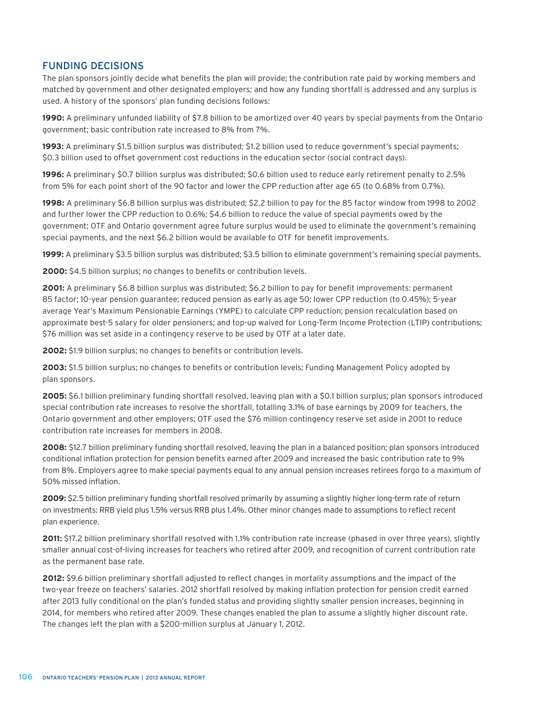# FUNDING DECISIONS

The plan sponsors jointly decide what benefits the plan will provide; the contribution rate paid by working members and matched by government and other designated employers; and how any funding shortfall is addressed and any surplus is used. A history of the sponsors' plan funding decisions follows:

**1990:** A preliminary unfunded liability of \$7.8 billion to be amortized over 40 years by special payments from the Ontario government; basic contribution rate increased to 8% from 7%.

**1993:** A preliminary \$1.5 billion surplus was distributed; \$1.2 billion used to reduce government's special payments; \$0.3 billion used to offset government cost reductions in the education sector (social contract days).

**1996:** A preliminary \$0.7 billion surplus was distributed; \$0.6 billion used to reduce early retirement penalty to 2.5% from 5% for each point short of the 90 factor and lower the CPP reduction after age 65 (to 0.68% from 0.7%).

**1998:** A preliminary \$6.8 billion surplus was distributed; \$2.2 billion to pay for the 85 factor window from 1998 to 2002 and further lower the CPP reduction to 0.6%; \$4.6 billion to reduce the value of special payments owed by the government; OTF and Ontario government agree future surplus would be used to eliminate the government's remaining special payments, and the next \$6.2 billion would be available to OTF for benefit improvements.

**1999:** A preliminary \$3.5 billion surplus was distributed; \$3.5 billion to eliminate government's remaining special payments.

**2000:** \$4.5 billion surplus; no changes to benefits or contribution levels.

**2001:** A preliminary \$6.8 billion surplus was distributed; \$6.2 billion to pay for benefit improvements: permanent 85 factor; 10-year pension guarantee; reduced pension as early as age 50; lower CPP reduction (to 0.45%); 5-year average Year's Maximum Pensionable Earnings (YMPE) to calculate CPP reduction; pension recalculation based on approximate best-5 salary for older pensioners; and top-up waived for Long-Term Income Protection (LTIP) contributions; \$76 million was set aside in a contingency reserve to be used by OTF at a later date.

**2002:** \$1.9 billion surplus; no changes to benefits or contribution levels.

**2003:** \$1.5 billion surplus; no changes to benefits or contribution levels; Funding Management Policy adopted by plan sponsors.

**2005:** \$6.1 billion preliminary funding shortfall resolved, leaving plan with a \$0.1 billion surplus; plan sponsors introduced special contribution rate increases to resolve the shortfall, totalling 3.1% of base earnings by 2009 for teachers, the Ontario government and other employers; OTF used the \$76 million contingency reserve set aside in 2001 to reduce contribution rate increases for members in 2008.

**2008:** \$12.7 billion preliminary funding shortfall resolved, leaving the plan in a balanced position; plan sponsors introduced conditional inflation protection for pension benefits earned after 2009 and increased the basic contribution rate to 9% from 8%. Employers agree to make special payments equal to any annual pension increases retirees forgo to a maximum of 50% missed inflation.

**2009:** \$2.5 billion preliminary funding shortfall resolved primarily by assuming a slightly higher long-term rate of return on investments: RRB yield plus 1.5% versus RRB plus 1.4%. Other minor changes made to assumptions to reflect recent plan experience.

**2011:** \$17.2 billion preliminary shortfall resolved with 1.1% contribution rate increase (phased in over three years), slightly smaller annual cost-of-living increases for teachers who retired after 2009, and recognition of current contribution rate as the permanent base rate.

**2012:** \$9.6 billion preliminary shortfall adjusted to reflect changes in mortality assumptions and the impact of the two-year freeze on teachers' salaries. 2012 shortfall resolved by making inflation protection for pension credit earned after 2013 fully conditional on the plan's funded status and providing slightly smaller pension increases, beginning in 2014, for members who retired after 2009. These changes enabled the plan to assume a slightly higher discount rate. The changes left the plan with a \$200-million surplus at January 1, 2012.